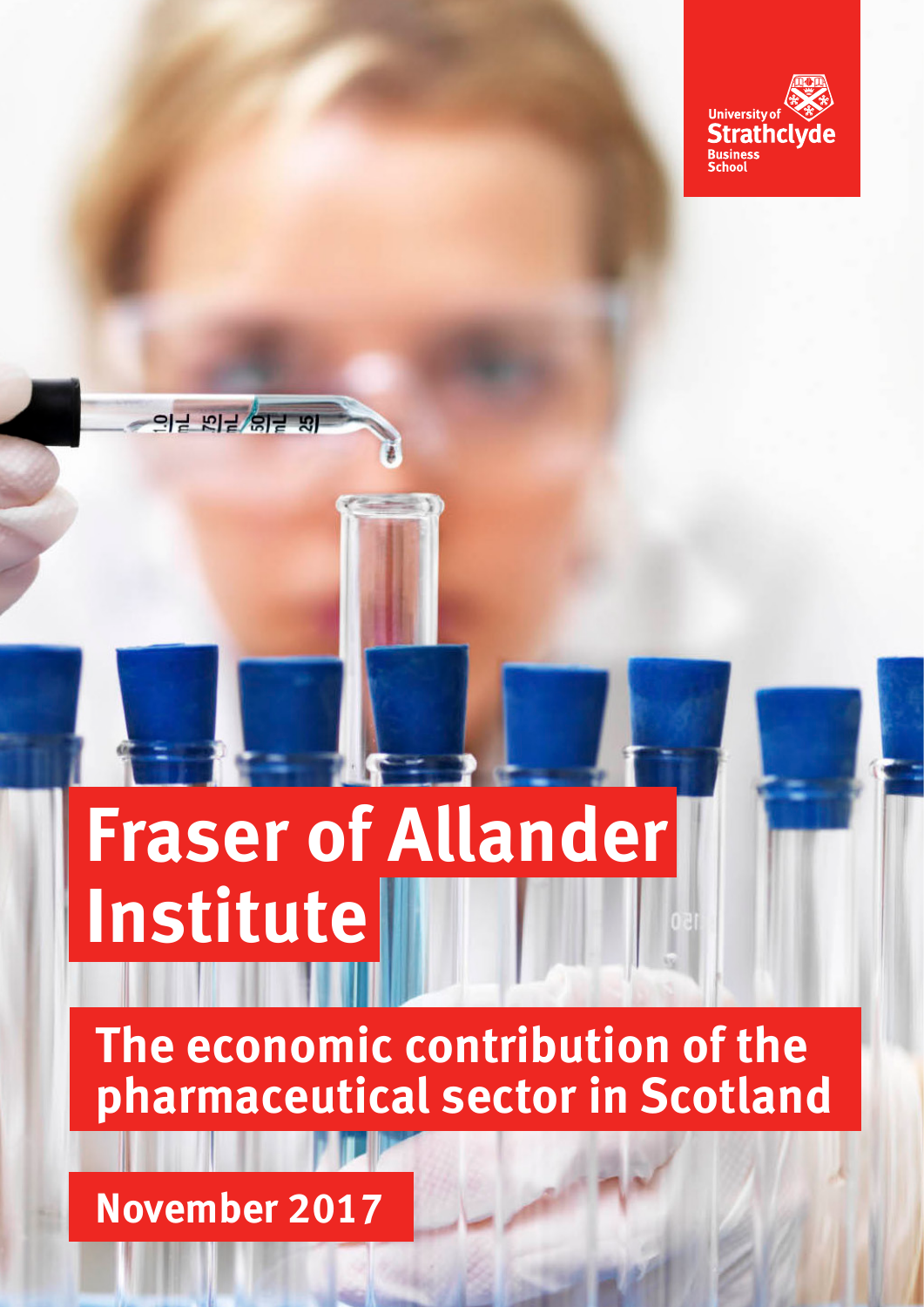

# **Fraser of Allander Institute**

**The economic contribution of the pharmaceutical sector in Scotland**

**November 2017**

의복 지복 입복 전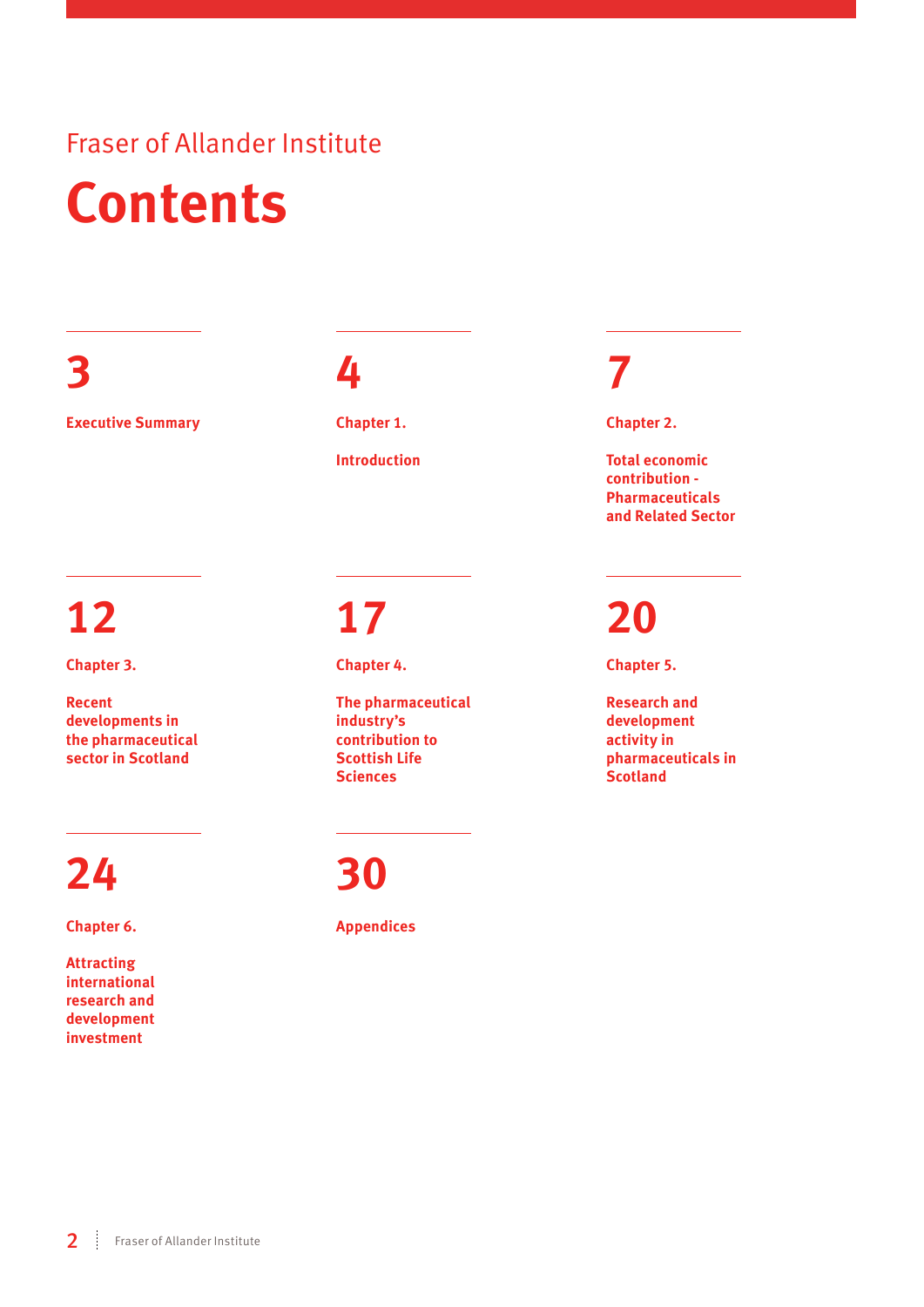### Fraser of Allander Institute **Contents**

**3**

**Executive Summary**

### **4**

**Chapter 1. Introduction**

# **12**

**Chapter 3.**

**Recent developments in the pharmaceutical sector in Scotland**

### **24**

**Chapter 6.**

**Attracting international research and development investment**

### **17**

**Chapter 4.**

**The pharmaceutical industry's contribution to Scottish Life Sciences**

### **30**

**Appendices**

### **7**

**Chapter 2.** 

**Total economic contribution - Pharmaceuticals and Related Sector**

### **20**

**Chapter 5.**

**Research and development activity in pharmaceuticals in Scotland**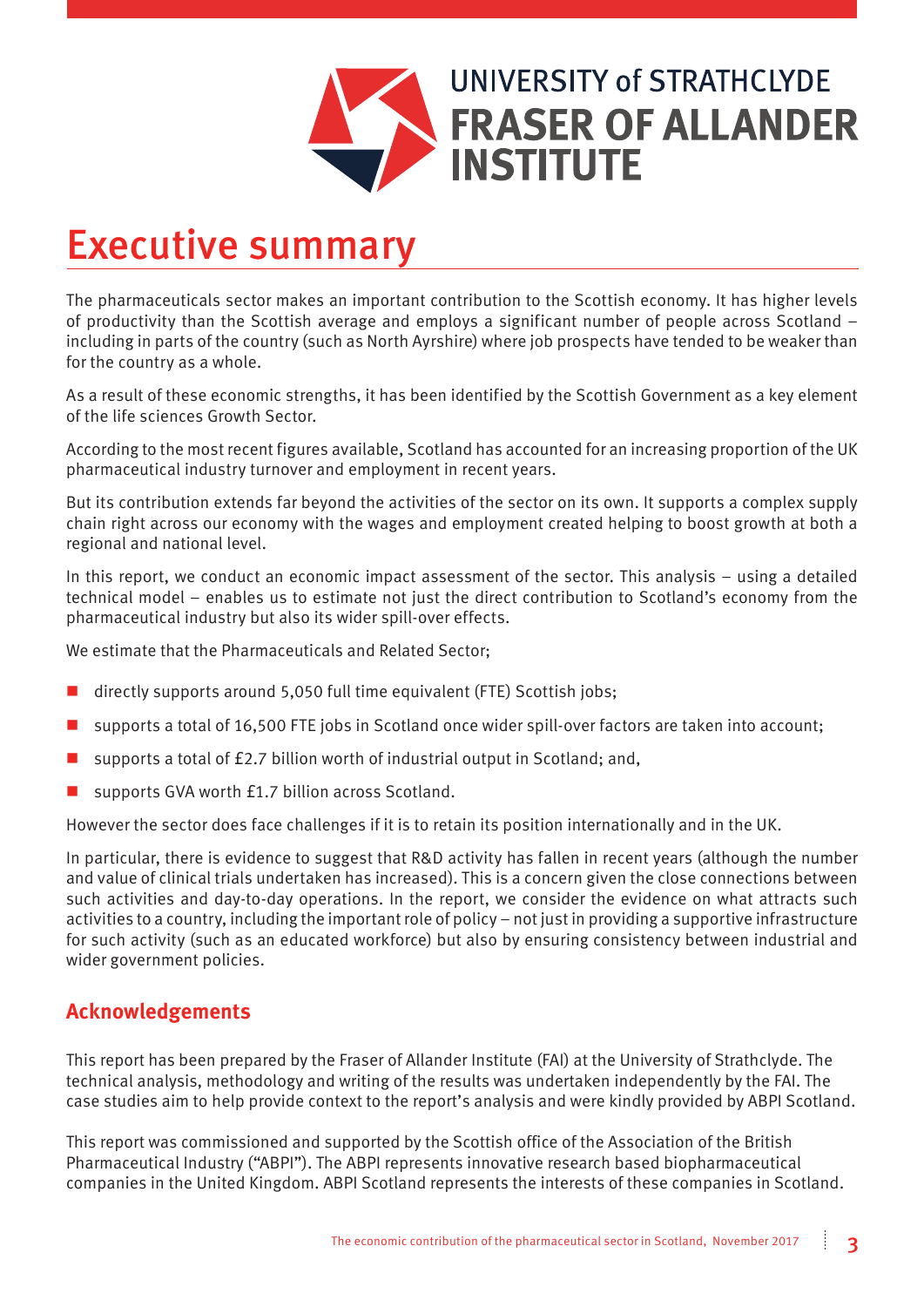

### Executive summary

The pharmaceuticals sector makes an important contribution to the Scottish economy. It has higher levels of productivity than the Scottish average and employs a significant number of people across Scotland – including in parts of the country (such as North Ayrshire) where job prospects have tended to be weaker than for the country as a whole.

As a result of these economic strengths, it has been identified by the Scottish Government as a key element of the life sciences Growth Sector.

According to the most recent figures available, Scotland has accounted for an increasing proportion of the UK pharmaceutical industry turnover and employment in recent years.

But its contribution extends far beyond the activities of the sector on its own. It supports a complex supply chain right across our economy with the wages and employment created helping to boost growth at both a regional and national level.

In this report, we conduct an economic impact assessment of the sector. This analysis – using a detailed technical model – enables us to estimate not just the direct contribution to Scotland's economy from the pharmaceutical industry but also its wider spill-over effects.

We estimate that the Pharmaceuticals and Related Sector;

- directly supports around 5,050 full time equivalent (FTE) Scottish jobs;
- **n** supports a total of 16,500 FTE jobs in Scotland once wider spill-over factors are taken into account;
- supports a total of £2.7 billion worth of industrial output in Scotland; and,
- supports GVA worth £1.7 billion across Scotland.

However the sector does face challenges if it is to retain its position internationally and in the UK.

In particular, there is evidence to suggest that R&D activity has fallen in recent years (although the number and value of clinical trials undertaken has increased). This is a concern given the close connections between such activities and day-to-day operations. In the report, we consider the evidence on what attracts such activities to a country, including the important role of policy – not just in providing a supportive infrastructure for such activity (such as an educated workforce) but also by ensuring consistency between industrial and wider government policies.

#### **Acknowledgements**

This report has been prepared by the Fraser of Allander Institute (FAI) at the University of Strathclyde. The technical analysis, methodology and writing of the results was undertaken independently by the FAI. The case studies aim to help provide context to the report's analysis and were kindly provided by ABPI Scotland.

This report was commissioned and supported by the Scottish office of the Association of the British Pharmaceutical Industry ("ABPI"). The ABPI represents innovative research based biopharmaceutical companies in the United Kingdom. ABPI Scotland represents the interests of these companies in Scotland.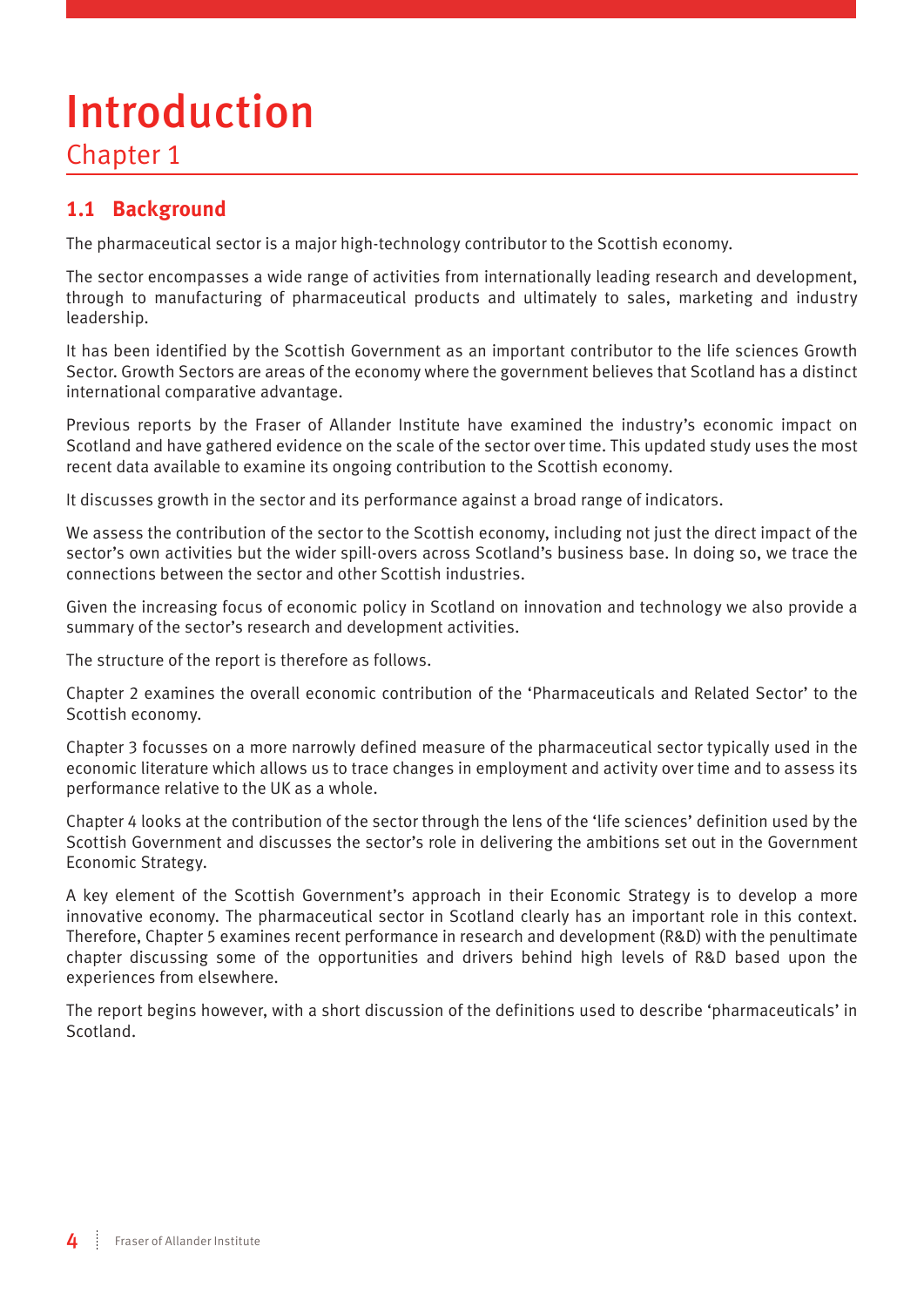# Introduction

Chapter 1

#### **1.1 Background**

The pharmaceutical sector is a major high-technology contributor to the Scottish economy.

The sector encompasses a wide range of activities from internationally leading research and development, through to manufacturing of pharmaceutical products and ultimately to sales, marketing and industry leadership.

It has been identified by the Scottish Government as an important contributor to the life sciences Growth Sector. Growth Sectors are areas of the economy where the government believes that Scotland has a distinct international comparative advantage.

Previous reports by the Fraser of Allander Institute have examined the industry's economic impact on Scotland and have gathered evidence on the scale of the sector over time. This updated study uses the most recent data available to examine its ongoing contribution to the Scottish economy.

It discusses growth in the sector and its performance against a broad range of indicators.

We assess the contribution of the sector to the Scottish economy, including not just the direct impact of the sector's own activities but the wider spill-overs across Scotland's business base. In doing so, we trace the connections between the sector and other Scottish industries.

Given the increasing focus of economic policy in Scotland on innovation and technology we also provide a summary of the sector's research and development activities.

The structure of the report is therefore as follows.

Chapter 2 examines the overall economic contribution of the 'Pharmaceuticals and Related Sector' to the Scottish economy.

Chapter 3 focusses on a more narrowly defined measure of the pharmaceutical sector typically used in the economic literature which allows us to trace changes in employment and activity over time and to assess its performance relative to the UK as a whole.

Chapter 4 looks at the contribution of the sector through the lens of the 'life sciences' definition used by the Scottish Government and discusses the sector's role in delivering the ambitions set out in the Government Economic Strategy.

A key element of the Scottish Government's approach in their Economic Strategy is to develop a more innovative economy. The pharmaceutical sector in Scotland clearly has an important role in this context. Therefore, Chapter 5 examines recent performance in research and development (R&D) with the penultimate chapter discussing some of the opportunities and drivers behind high levels of R&D based upon the experiences from elsewhere.

The report begins however, with a short discussion of the definitions used to describe 'pharmaceuticals' in Scotland.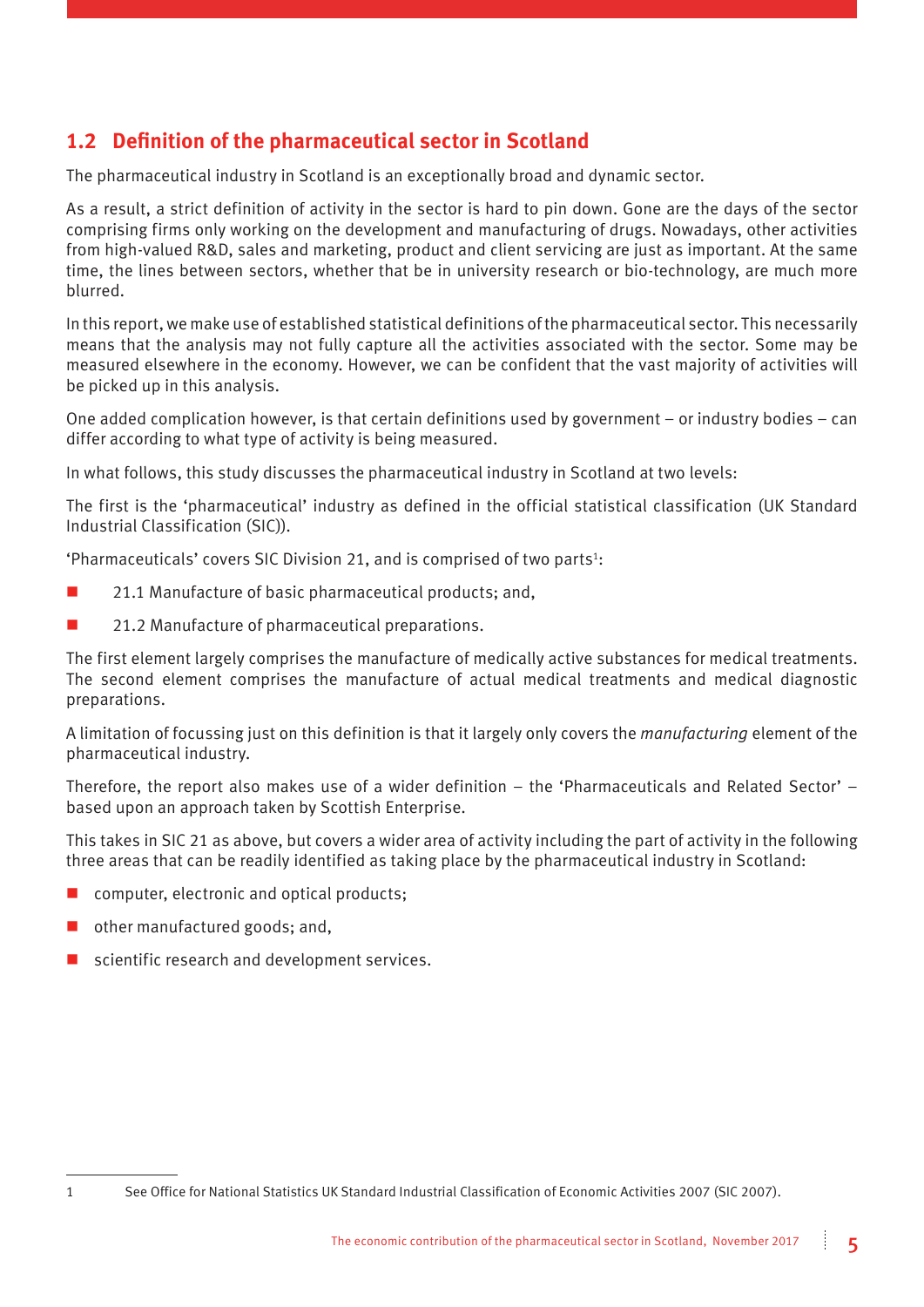#### **1.2 Definition of the pharmaceutical sector in Scotland**

The pharmaceutical industry in Scotland is an exceptionally broad and dynamic sector.

As a result, a strict definition of activity in the sector is hard to pin down. Gone are the days of the sector comprising firms only working on the development and manufacturing of drugs. Nowadays, other activities from high-valued R&D, sales and marketing, product and client servicing are just as important. At the same time, the lines between sectors, whether that be in university research or bio-technology, are much more blurred.

In this report, we make use of established statistical definitions of the pharmaceutical sector. This necessarily means that the analysis may not fully capture all the activities associated with the sector. Some may be measured elsewhere in the economy. However, we can be confident that the vast majority of activities will be picked up in this analysis.

One added complication however, is that certain definitions used by government – or industry bodies – can differ according to what type of activity is being measured.

In what follows, this study discusses the pharmaceutical industry in Scotland at two levels:

The first is the 'pharmaceutical' industry as defined in the official statistical classification (UK Standard Industrial Classification (SIC)).

'Pharmaceuticals' covers SIC Division 21, and is comprised of two parts<sup>1</sup>:

- 21.1 Manufacture of basic pharmaceutical products; and,
- 21.2 Manufacture of pharmaceutical preparations.

The first element largely comprises the manufacture of medically active substances for medical treatments. The second element comprises the manufacture of actual medical treatments and medical diagnostic preparations.

A limitation of focussing just on this definition is that it largely only covers the *manufacturing* element of the pharmaceutical industry.

Therefore, the report also makes use of a wider definition – the 'Pharmaceuticals and Related Sector' – based upon an approach taken by Scottish Enterprise.

This takes in SIC 21 as above, but covers a wider area of activity including the part of activity in the following three areas that can be readily identified as taking place by the pharmaceutical industry in Scotland:

- $\blacksquare$  computer, electronic and optical products:
- other manufactured goods; and,
- $\blacksquare$  scientific research and development services.

<sup>1</sup> See Office for National Statistics UK Standard Industrial Classification of Economic Activities 2007 (SIC 2007).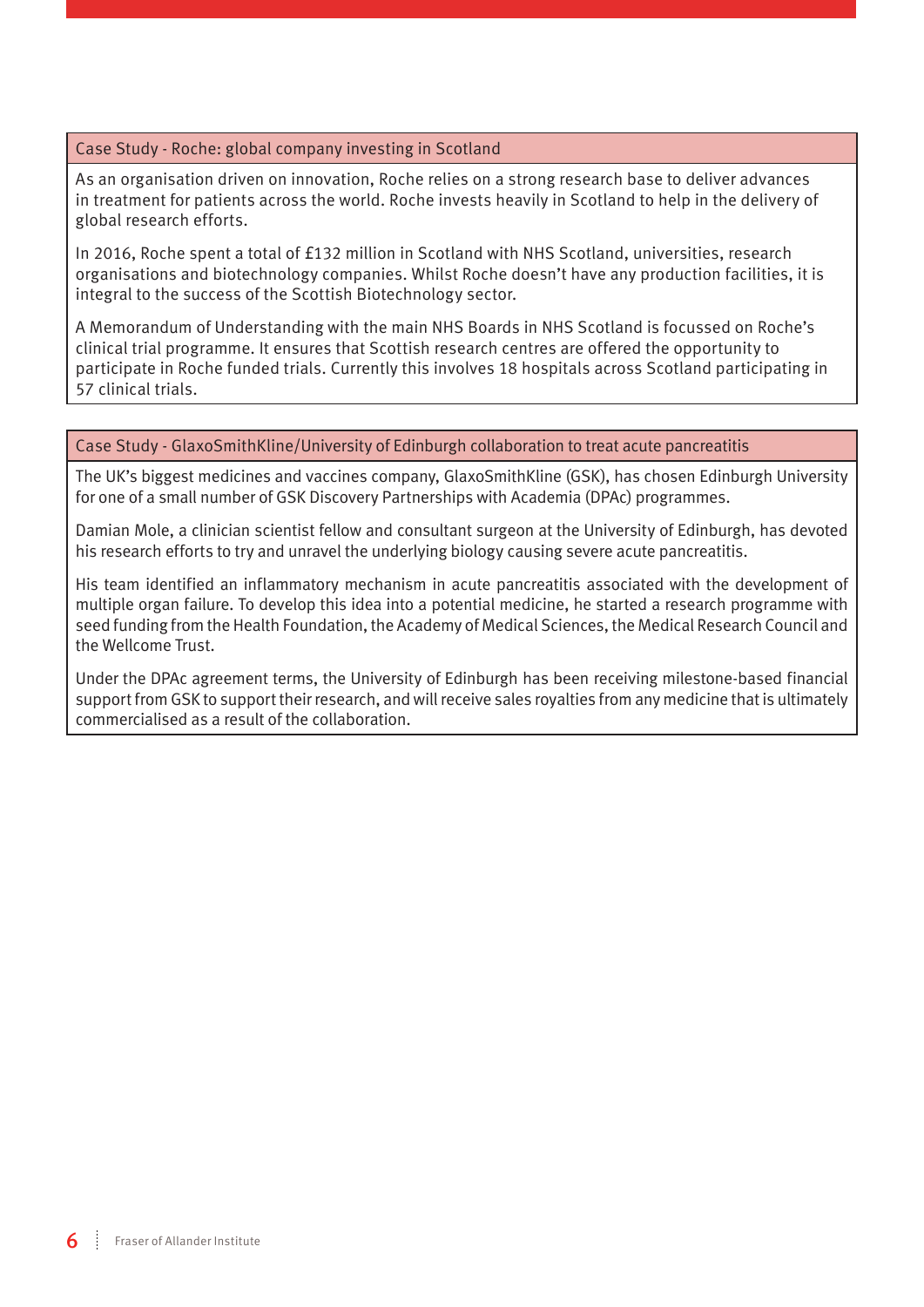#### Case Study - Roche: global company investing in Scotland

As an organisation driven on innovation, Roche relies on a strong research base to deliver advances in treatment for patients across the world. Roche invests heavily in Scotland to help in the delivery of global research efforts.

In 2016, Roche spent a total of £132 million in Scotland with NHS Scotland, universities, research organisations and biotechnology companies. Whilst Roche doesn't have any production facilities, it is integral to the success of the Scottish Biotechnology sector.

A Memorandum of Understanding with the main NHS Boards in NHS Scotland is focussed on Roche's clinical trial programme. It ensures that Scottish research centres are offered the opportunity to participate in Roche funded trials. Currently this involves 18 hospitals across Scotland participating in 57 clinical trials.

#### Case Study - GlaxoSmithKline/University of Edinburgh collaboration to treat acute pancreatitis

The UK's biggest medicines and vaccines company, GlaxoSmithKline (GSK), has chosen Edinburgh University for one of a small number of GSK Discovery Partnerships with Academia (DPAc) programmes.

Damian Mole, a clinician scientist fellow and consultant surgeon at the University of Edinburgh, has devoted his research efforts to try and unravel the underlying biology causing severe acute pancreatitis.

His team identified an inflammatory mechanism in acute pancreatitis associated with the development of multiple organ failure. To develop this idea into a potential medicine, he started a research programme with seed funding from the Health Foundation, the Academy of Medical Sciences, the Medical Research Council and the Wellcome Trust.

Under the DPAc agreement terms, the University of Edinburgh has been receiving milestone-based financial support from GSK to support their research, and will receive sales royalties from any medicine that is ultimately commercialised as a result of the collaboration.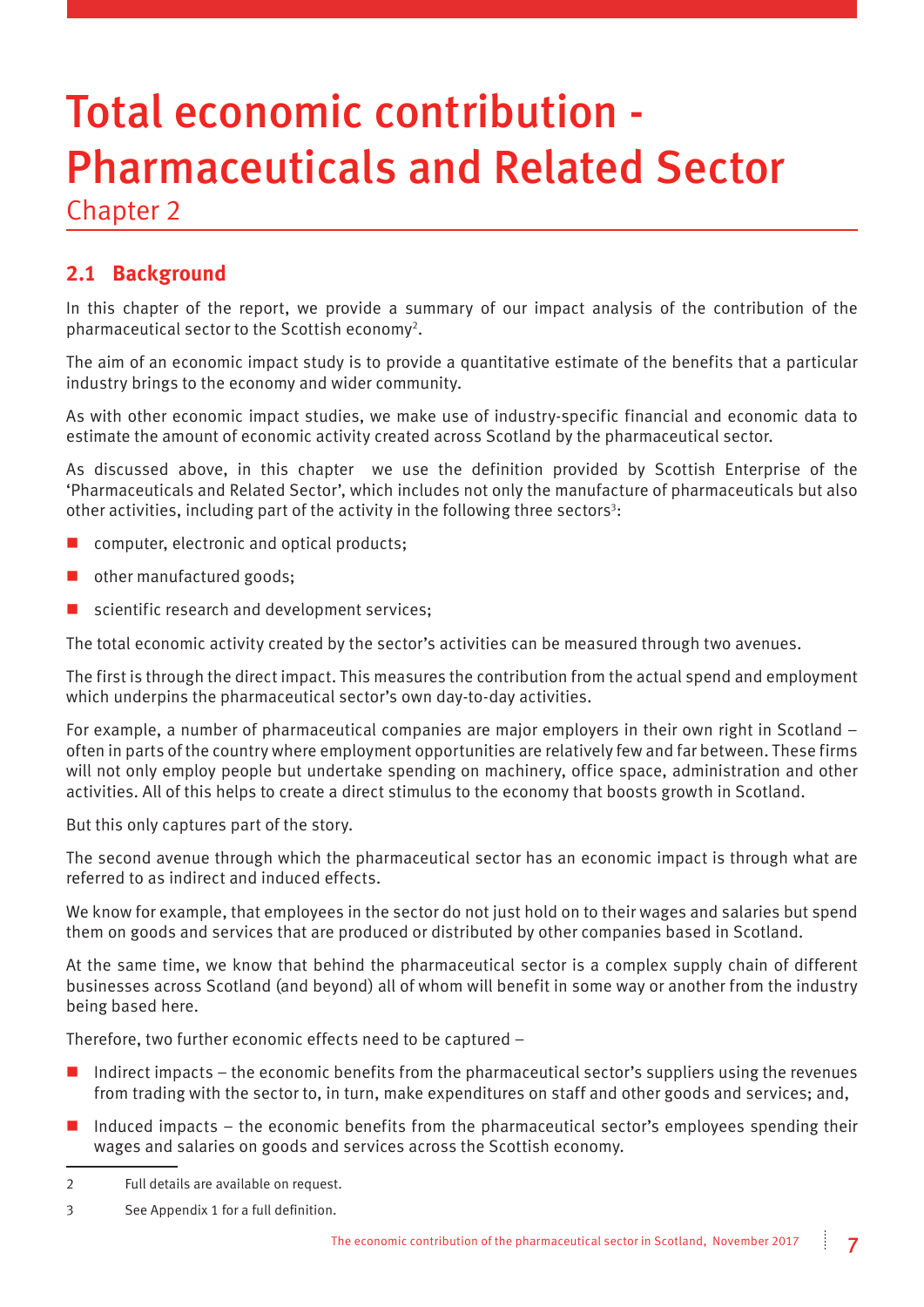# Total economic contribution - Pharmaceuticals and Related Sector

Chapter 2

#### **2.1 Background**

In this chapter of the report, we provide a summary of our impact analysis of the contribution of the pharmaceutical sector to the Scottish economy2.

The aim of an economic impact study is to provide a quantitative estimate of the benefits that a particular industry brings to the economy and wider community.

As with other economic impact studies, we make use of industry-specific financial and economic data to estimate the amount of economic activity created across Scotland by the pharmaceutical sector.

As discussed above, in this chapter we use the definition provided by Scottish Enterprise of the 'Pharmaceuticals and Related Sector', which includes not only the manufacture of pharmaceuticals but also other activities, including part of the activity in the following three sectors<sup>3</sup>:

- computer, electronic and optical products;
- $\blacksquare$  other manufactured goods;
- scientific research and development services;

The total economic activity created by the sector's activities can be measured through two avenues.

The first is through the direct impact. This measures the contribution from the actual spend and employment which underpins the pharmaceutical sector's own day-to-day activities.

For example, a number of pharmaceutical companies are major employers in their own right in Scotland – often in parts of the country where employment opportunities are relatively few and far between. These firms will not only employ people but undertake spending on machinery, office space, administration and other activities. All of this helps to create a direct stimulus to the economy that boosts growth in Scotland.

But this only captures part of the story.

The second avenue through which the pharmaceutical sector has an economic impact is through what are referred to as indirect and induced effects.

We know for example, that employees in the sector do not just hold on to their wages and salaries but spend them on goods and services that are produced or distributed by other companies based in Scotland.

At the same time, we know that behind the pharmaceutical sector is a complex supply chain of different businesses across Scotland (and beyond) all of whom will benefit in some way or another from the industry being based here.

Therefore, two further economic effects need to be captured –

- $\blacksquare$  Indirect impacts the economic benefits from the pharmaceutical sector's suppliers using the revenues from trading with the sector to, in turn, make expenditures on staff and other goods and services; and,
- $\blacksquare$  Induced impacts the economic benefits from the pharmaceutical sector's employees spending their wages and salaries on goods and services across the Scottish economy.

<sup>2</sup> Full details are available on request.

<sup>3</sup> See Appendix 1 for a full definition.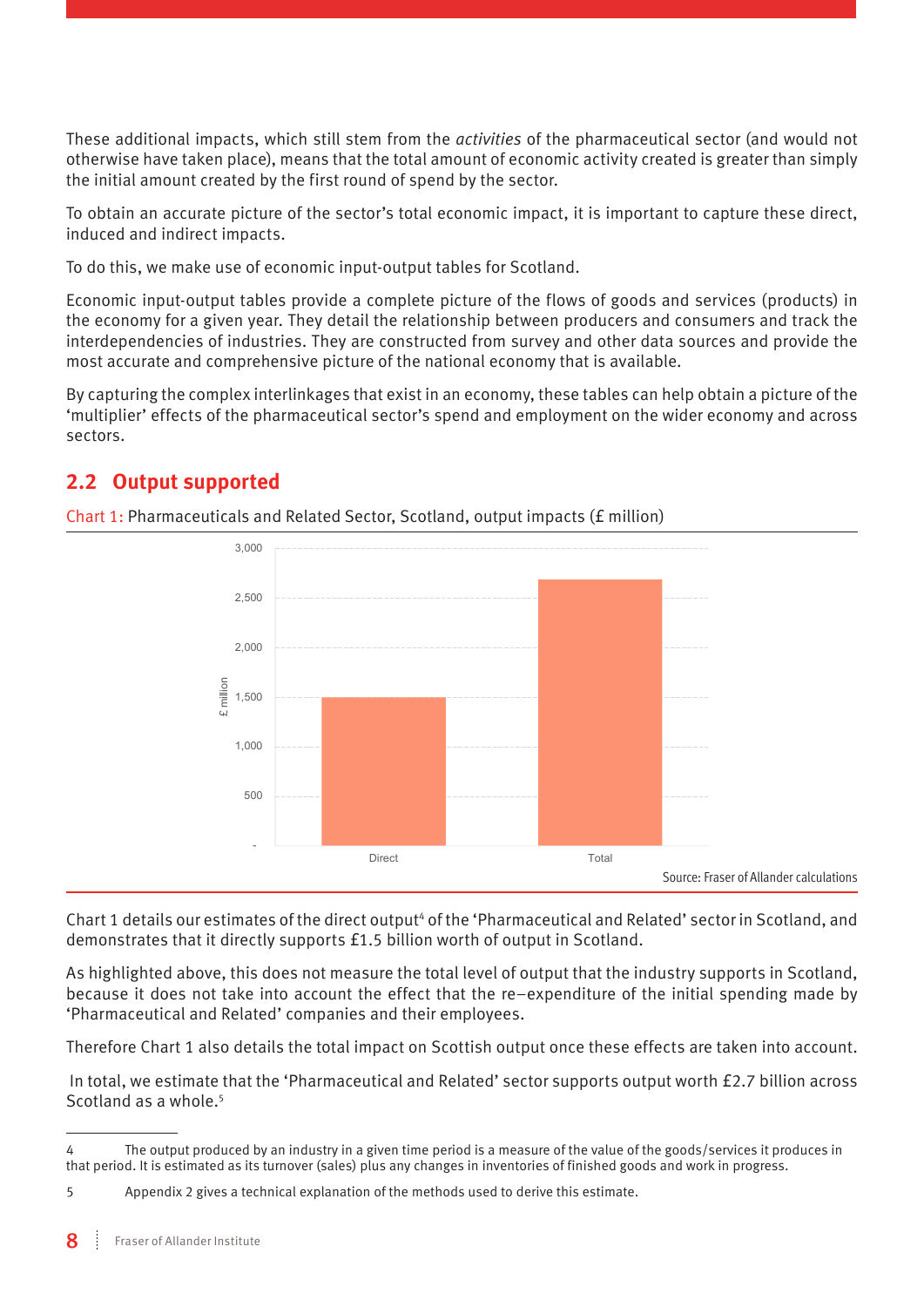These additional impacts, which still stem from the *activities* of the pharmaceutical sector (and would not otherwise have taken place), means that the total amount of economic activity created is greater than simply the initial amount created by the first round of spend by the sector.

To obtain an accurate picture of the sector's total economic impact, it is important to capture these direct, induced and indirect impacts.

To do this, we make use of economic input-output tables for Scotland.

Economic input-output tables provide a complete picture of the flows of goods and services (products) in the economy for a given year. They detail the relationship between producers and consumers and track the interdependencies of industries. They are constructed from survey and other data sources and provide the most accurate and comprehensive picture of the national economy that is available.

By capturing the complex interlinkages that exist in an economy, these tables can help obtain a picture of the 'multiplier' effects of the pharmaceutical sector's spend and employment on the wider economy and across sectors.

#### **2.2 Output supported**

 - 500 1,000 1,500 2,000 2,500 3,000 Direct Total million

Chart 1: Pharmaceuticals and Related Sector, Scotland, output impacts (£ million)

Source: Fraser of Allander calculations

Chart 1 details our estimates of the direct output<sup>4</sup> of the 'Pharmaceutical and Related' sector in Scotland, and demonstrates that it directly supports £1.5 billion worth of output in Scotland.

As highlighted above, this does not measure the total level of output that the industry supports in Scotland, because it does not take into account the effect that the re–expenditure of the initial spending made by 'Pharmaceutical and Related' companies and their employees.

Therefore Chart 1 also details the total impact on Scottish output once these effects are taken into account.

 In total, we estimate that the 'Pharmaceutical and Related' sector supports output worth £2.7 billion across Scotland as a whole.<sup>5</sup>

<sup>4</sup> The output produced by an industry in a given time period is a measure of the value of the goods/services it produces in that period. It is estimated as its turnover (sales) plus any changes in inventories of finished goods and work in progress.

<sup>5</sup> Appendix 2 gives a technical explanation of the methods used to derive this estimate.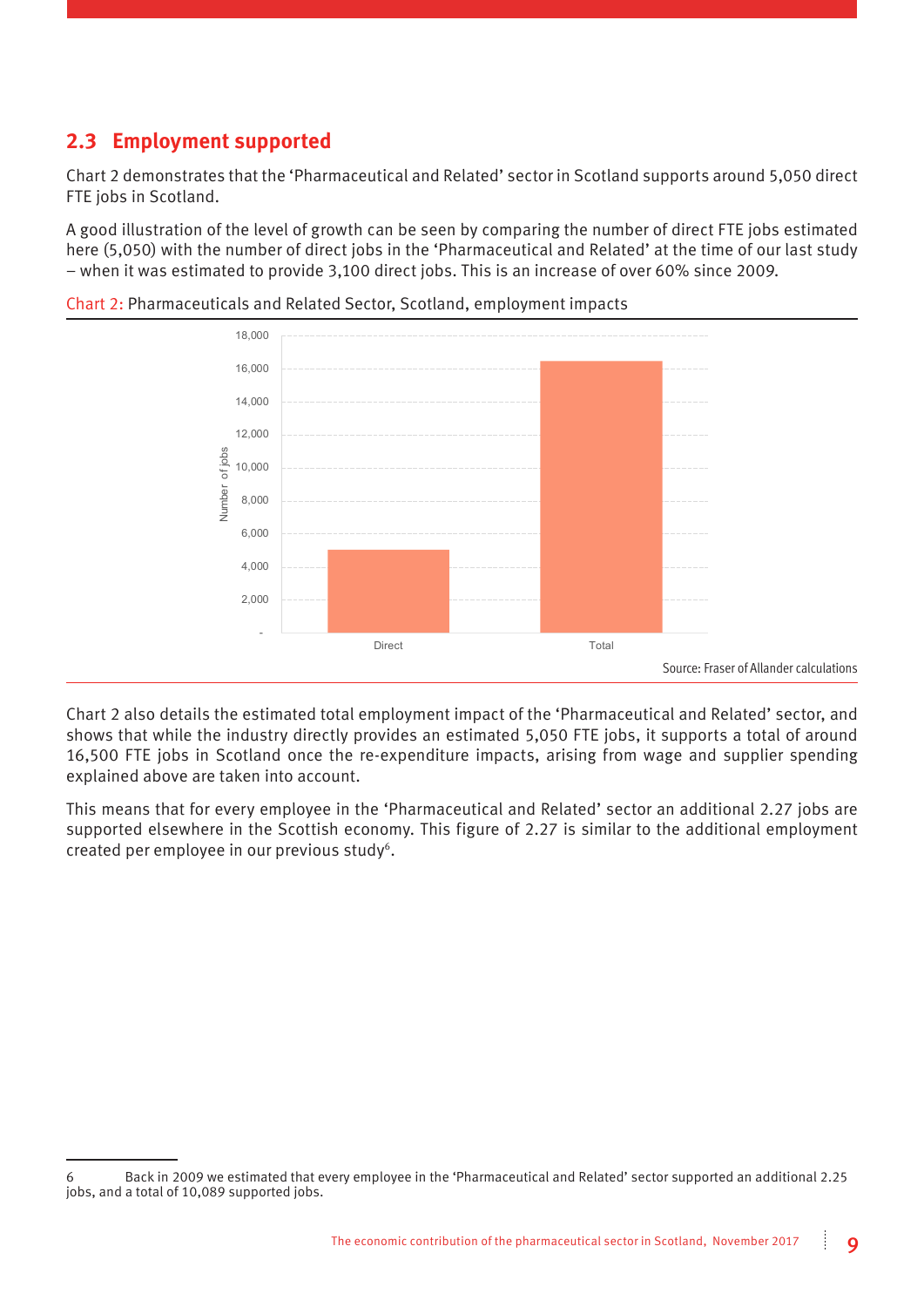#### **2.3 Employment supported**

Chart 2 demonstrates that the 'Pharmaceutical and Related' sector in Scotland supports around 5,050 direct FTE jobs in Scotland.

A good illustration of the level of growth can be seen by comparing the number of direct FTE jobs estimated here (5,050) with the number of direct jobs in the 'Pharmaceutical and Related' at the time of our last study – when it was estimated to provide 3,100 direct jobs. This is an increase of over 60% since 2009.



Chart 2: Pharmaceuticals and Related Sector, Scotland, employment impacts

Chart 2 also details the estimated total employment impact of the 'Pharmaceutical and Related' sector, and shows that while the industry directly provides an estimated 5,050 FTE jobs, it supports a total of around 16,500 FTE jobs in Scotland once the re-expenditure impacts, arising from wage and supplier spending explained above are taken into account.

This means that for every employee in the 'Pharmaceutical and Related' sector an additional 2.27 jobs are supported elsewhere in the Scottish economy. This figure of 2.27 is similar to the additional employment created per employee in our previous study<sup>6</sup>.

<sup>6</sup> Back in 2009 we estimated that every employee in the 'Pharmaceutical and Related' sector supported an additional 2.25 jobs, and a total of 10,089 supported jobs.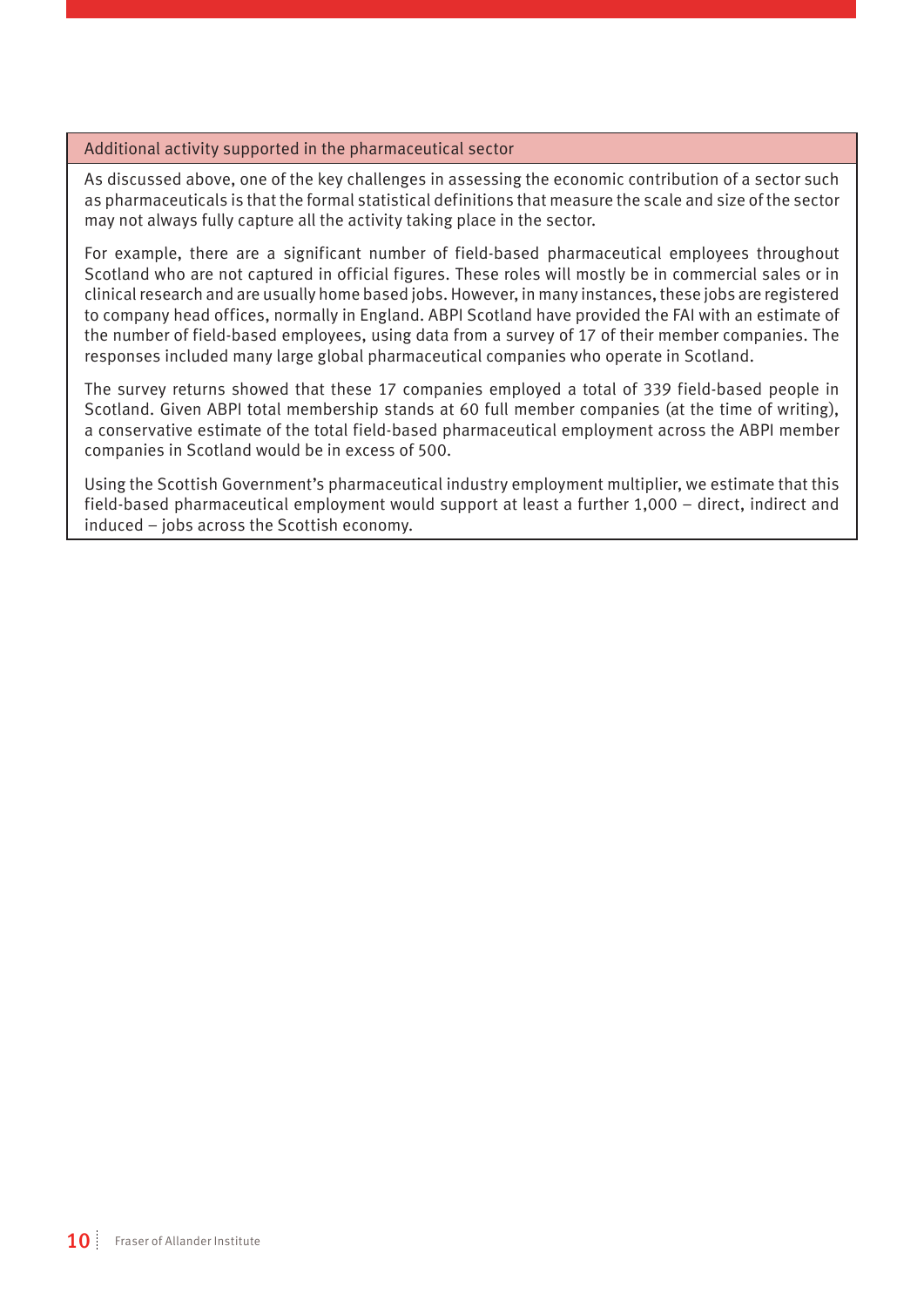#### Additional activity supported in the pharmaceutical sector

As discussed above, one of the key challenges in assessing the economic contribution of a sector such as pharmaceuticals is that the formal statistical definitions that measure the scale and size of the sector may not always fully capture all the activity taking place in the sector.

For example, there are a significant number of field-based pharmaceutical employees throughout Scotland who are not captured in official figures. These roles will mostly be in commercial sales or in clinical research and are usually home based jobs. However, in many instances, these jobs are registered to company head offices, normally in England. ABPI Scotland have provided the FAI with an estimate of the number of field-based employees, using data from a survey of 17 of their member companies. The responses included many large global pharmaceutical companies who operate in Scotland.

The survey returns showed that these 17 companies employed a total of 339 field-based people in Scotland. Given ABPI total membership stands at 60 full member companies (at the time of writing), a conservative estimate of the total field-based pharmaceutical employment across the ABPI member companies in Scotland would be in excess of 500.

Using the Scottish Government's pharmaceutical industry employment multiplier, we estimate that this field-based pharmaceutical employment would support at least a further 1,000 – direct, indirect and induced – jobs across the Scottish economy.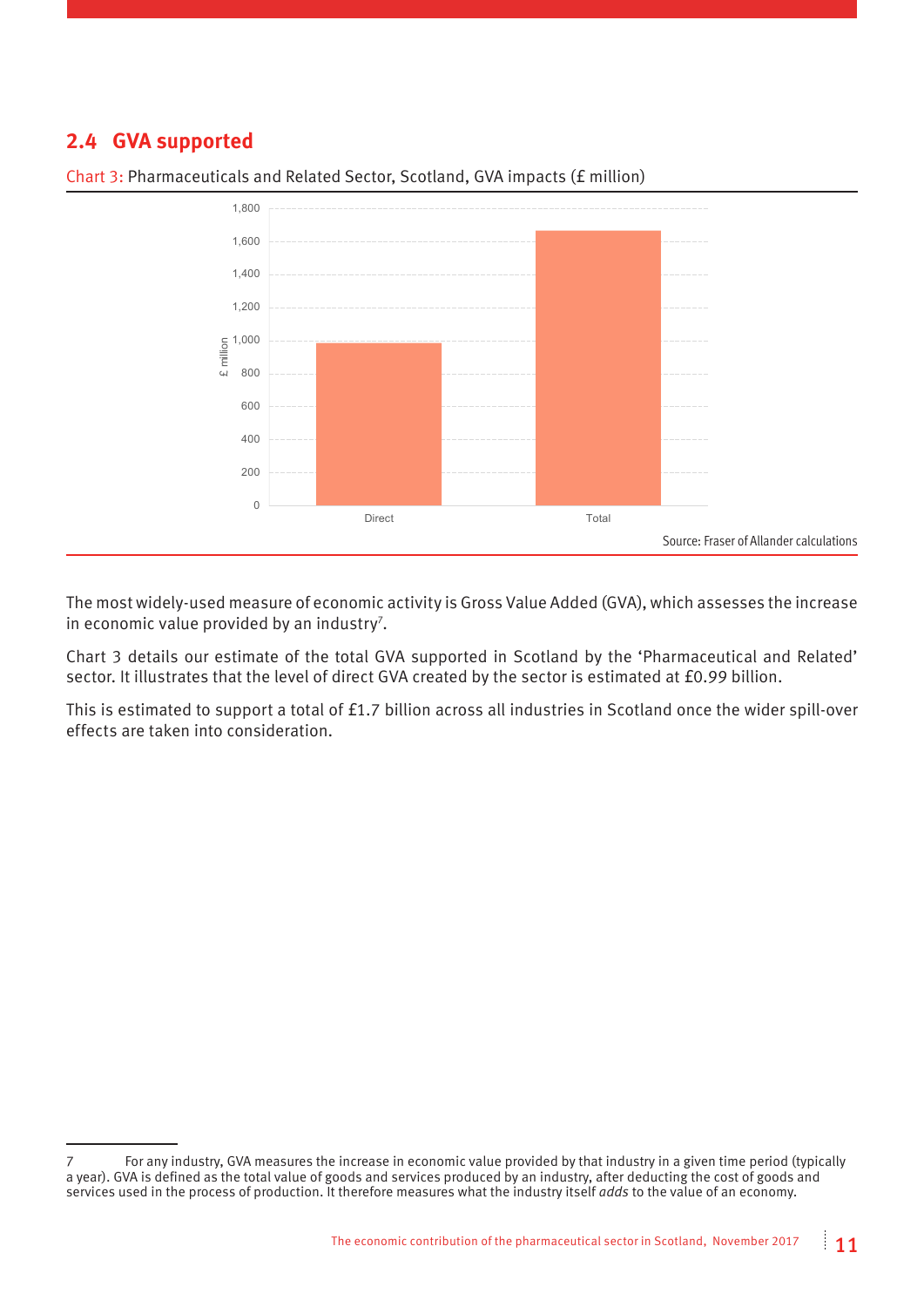#### **2.4 GVA supported**



Chart 3: Pharmaceuticals and Related Sector, Scotland, GVA impacts (£ million)

The most widely-used measure of economic activity is Gross Value Added (GVA), which assesses the increase in economic value provided by an industry<sup>7</sup>.

Chart 3 details our estimate of the total GVA supported in Scotland by the 'Pharmaceutical and Related' sector. It illustrates that the level of direct GVA created by the sector is estimated at £0.99 billion.

This is estimated to support a total of £1.7 billion across all industries in Scotland once the wider spill-over effects are taken into consideration.

<sup>7</sup> For any industry, GVA measures the increase in economic value provided by that industry in a given time period (typically a year). GVA is defined as the total value of goods and services produced by an industry, after deducting the cost of goods and services used in the process of production. It therefore measures what the industry itself *adds* to the value of an economy.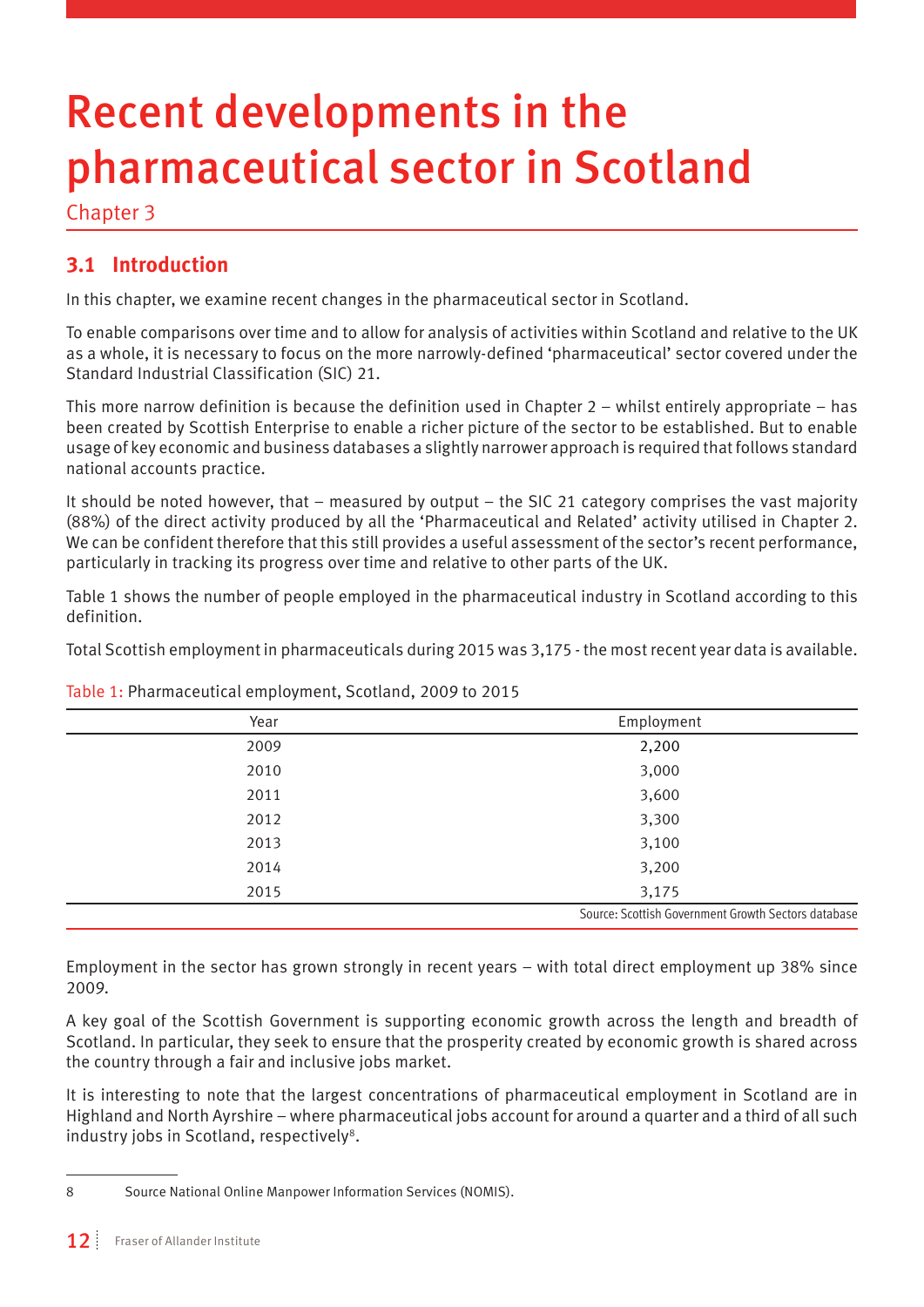# Recent developments in the pharmaceutical sector in Scotland

Chapter 3

#### **3.1 Introduction**

In this chapter, we examine recent changes in the pharmaceutical sector in Scotland.

To enable comparisons over time and to allow for analysis of activities within Scotland and relative to the UK as a whole, it is necessary to focus on the more narrowly-defined 'pharmaceutical' sector covered under the Standard Industrial Classification (SIC) 21.

This more narrow definition is because the definition used in Chapter 2 – whilst entirely appropriate – has been created by Scottish Enterprise to enable a richer picture of the sector to be established. But to enable usage of key economic and business databases a slightly narrower approach is required that follows standard national accounts practice.

It should be noted however, that – measured by output – the SIC 21 category comprises the vast majority (88%) of the direct activity produced by all the 'Pharmaceutical and Related' activity utilised in Chapter 2. We can be confident therefore that this still provides a useful assessment of the sector's recent performance, particularly in tracking its progress over time and relative to other parts of the UK.

Table 1 shows the number of people employed in the pharmaceutical industry in Scotland according to this definition.

Total Scottish employment in pharmaceuticals during 2015 was 3,175 - the most recent year data is available.

| Year | Employment                                          |
|------|-----------------------------------------------------|
| 2009 | 2,200                                               |
| 2010 | 3,000                                               |
| 2011 | 3,600                                               |
| 2012 | 3,300                                               |
| 2013 | 3,100                                               |
| 2014 | 3,200                                               |
| 2015 | 3,175                                               |
|      | Source: Scottish Government Growth Sectors database |

Table 1: Pharmaceutical employment, Scotland, 2009 to 2015

Employment in the sector has grown strongly in recent years – with total direct employment up 38% since 2009.

A key goal of the Scottish Government is supporting economic growth across the length and breadth of Scotland. In particular, they seek to ensure that the prosperity created by economic growth is shared across the country through a fair and inclusive jobs market.

It is interesting to note that the largest concentrations of pharmaceutical employment in Scotland are in Highland and North Ayrshire – where pharmaceutical jobs account for around a quarter and a third of all such industry jobs in Scotland, respectively<sup>8</sup>.

<sup>8</sup> Source National Online Manpower Information Services (NOMIS).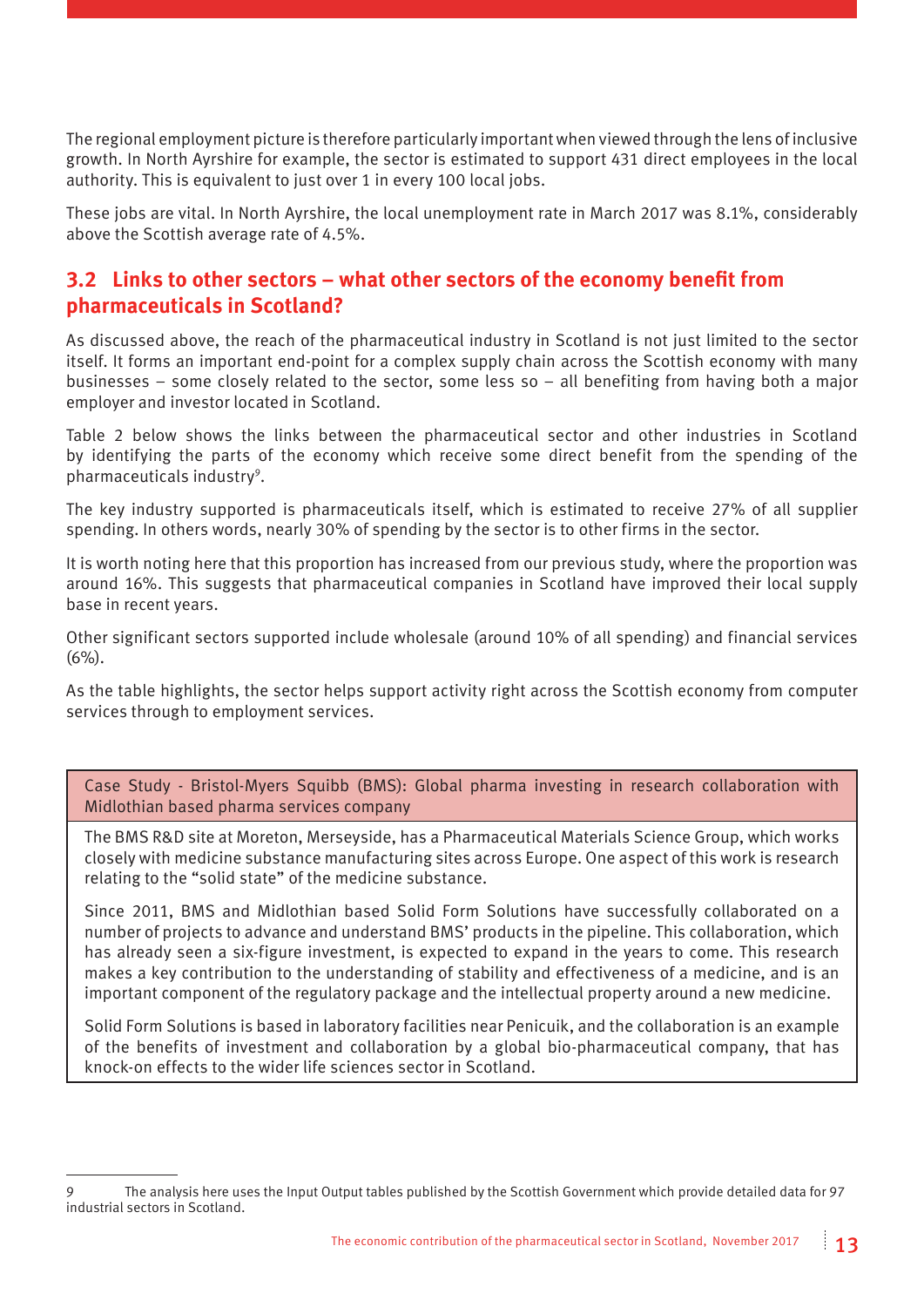The regional employment picture is therefore particularly important when viewed through the lens of inclusive growth. In North Ayrshire for example, the sector is estimated to support 431 direct employees in the local authority. This is equivalent to just over 1 in every 100 local jobs.

These jobs are vital. In North Ayrshire, the local unemployment rate in March 2017 was 8.1%, considerably above the Scottish average rate of 4.5%.

#### **3.2 Links to other sectors – what other sectors of the economy benefit from pharmaceuticals in Scotland?**

As discussed above, the reach of the pharmaceutical industry in Scotland is not just limited to the sector itself. It forms an important end-point for a complex supply chain across the Scottish economy with many businesses – some closely related to the sector, some less so – all benefiting from having both a major employer and investor located in Scotland.

Table 2 below shows the links between the pharmaceutical sector and other industries in Scotland by identifying the parts of the economy which receive some direct benefit from the spending of the pharmaceuticals industry<sup>9</sup>.

The key industry supported is pharmaceuticals itself, which is estimated to receive 27% of all supplier spending. In others words, nearly 30% of spending by the sector is to other firms in the sector.

It is worth noting here that this proportion has increased from our previous study, where the proportion was around 16%. This suggests that pharmaceutical companies in Scotland have improved their local supply base in recent years.

Other significant sectors supported include wholesale (around 10% of all spending) and financial services (6%).

As the table highlights, the sector helps support activity right across the Scottish economy from computer services through to employment services.

Case Study - Bristol-Myers Squibb (BMS): Global pharma investing in research collaboration with Midlothian based pharma services company

The BMS R&D site at Moreton, Merseyside, has a Pharmaceutical Materials Science Group, which works closely with medicine substance manufacturing sites across Europe. One aspect of this work is research relating to the "solid state" of the medicine substance.

Since 2011, BMS and Midlothian based Solid Form Solutions have successfully collaborated on a number of projects to advance and understand BMS' products in the pipeline. This collaboration, which has already seen a six-figure investment, is expected to expand in the years to come. This research makes a key contribution to the understanding of stability and effectiveness of a medicine, and is an important component of the regulatory package and the intellectual property around a new medicine.

Solid Form Solutions is based in laboratory facilities near Penicuik, and the collaboration is an example of the benefits of investment and collaboration by a global bio-pharmaceutical company, that has knock-on effects to the wider life sciences sector in Scotland.

<sup>9</sup> The analysis here uses the Input Output tables published by the Scottish Government which provide detailed data for 97 industrial sectors in Scotland.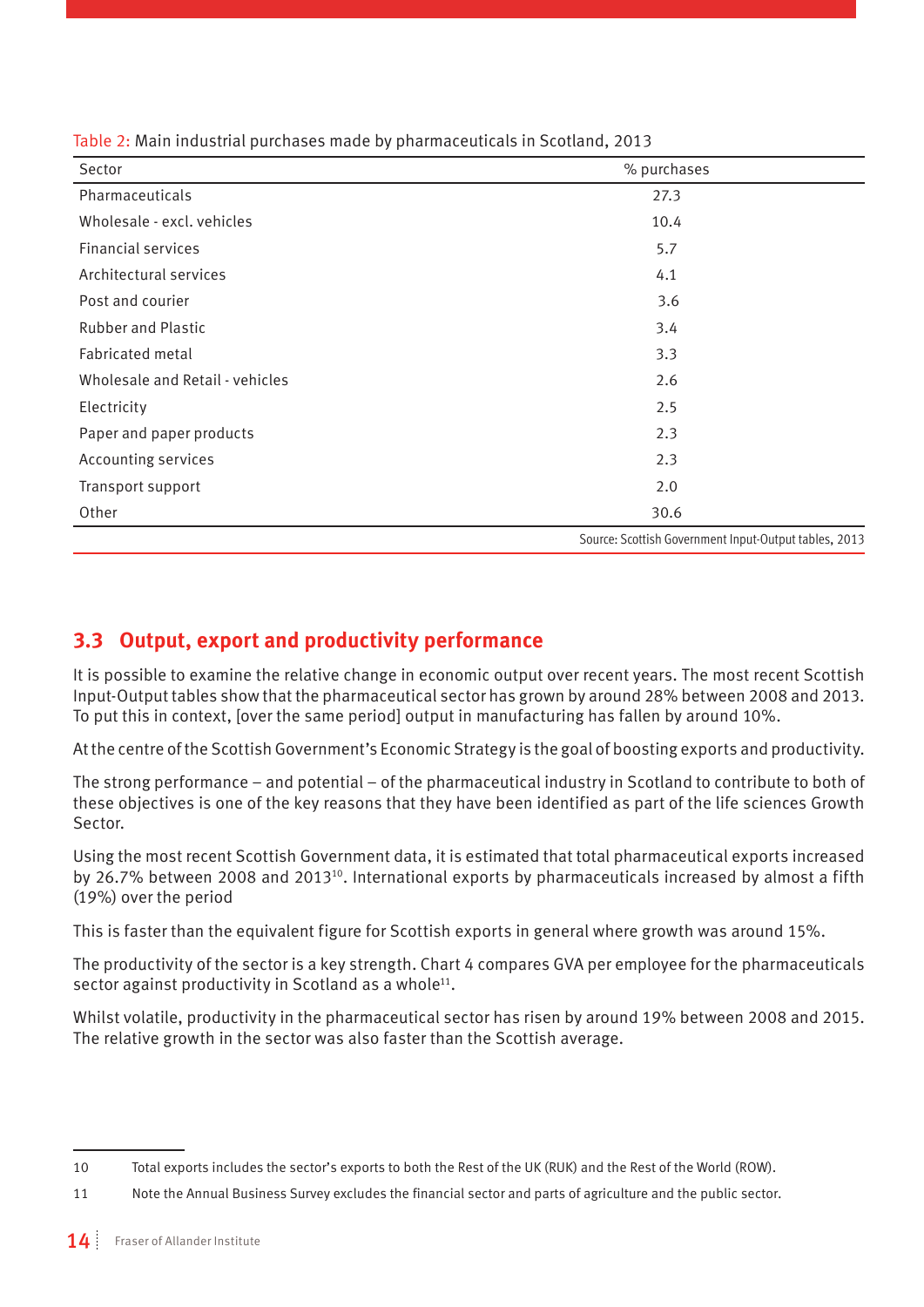| Sector                          | % purchases                                           |
|---------------------------------|-------------------------------------------------------|
| Pharmaceuticals                 | 27.3                                                  |
| Wholesale - excl. vehicles      | 10.4                                                  |
| <b>Financial services</b>       | 5.7                                                   |
| Architectural services          | 4.1                                                   |
| Post and courier                | 3.6                                                   |
| <b>Rubber and Plastic</b>       | 3.4                                                   |
| Fabricated metal                | 3.3                                                   |
| Wholesale and Retail - vehicles | 2.6                                                   |
| Electricity                     | 2.5                                                   |
| Paper and paper products        | 2.3                                                   |
| Accounting services             | 2.3                                                   |
| Transport support               | 2.0                                                   |
| Other                           | 30.6                                                  |
|                                 | Source: Scottish Government Input-Output tables, 2013 |

Table 2: Main industrial purchases made by pharmaceuticals in Scotland, 2013

#### **3.3 Output, export and productivity performance**

It is possible to examine the relative change in economic output over recent years. The most recent Scottish Input-Output tables show that the pharmaceutical sector has grown by around 28% between 2008 and 2013. To put this in context, [over the same period] output in manufacturing has fallen by around 10%.

At the centre of the Scottish Government's Economic Strategy is the goal of boosting exports and productivity.

The strong performance – and potential – of the pharmaceutical industry in Scotland to contribute to both of these objectives is one of the key reasons that they have been identified as part of the life sciences Growth Sector.

Using the most recent Scottish Government data, it is estimated that total pharmaceutical exports increased by 26.7% between 2008 and 2013<sup>10</sup>. International exports by pharmaceuticals increased by almost a fifth (19%) over the period

This is faster than the equivalent figure for Scottish exports in general where growth was around 15%.

The productivity of the sector is a key strength. Chart 4 compares GVA per employee for the pharmaceuticals sector against productivity in Scotland as a whole<sup>11</sup>.

Whilst volatile, productivity in the pharmaceutical sector has risen by around 19% between 2008 and 2015. The relative growth in the sector was also faster than the Scottish average.

<sup>10</sup> Total exports includes the sector's exports to both the Rest of the UK (RUK) and the Rest of the World (ROW).

<sup>11</sup> Note the Annual Business Survey excludes the financial sector and parts of agriculture and the public sector.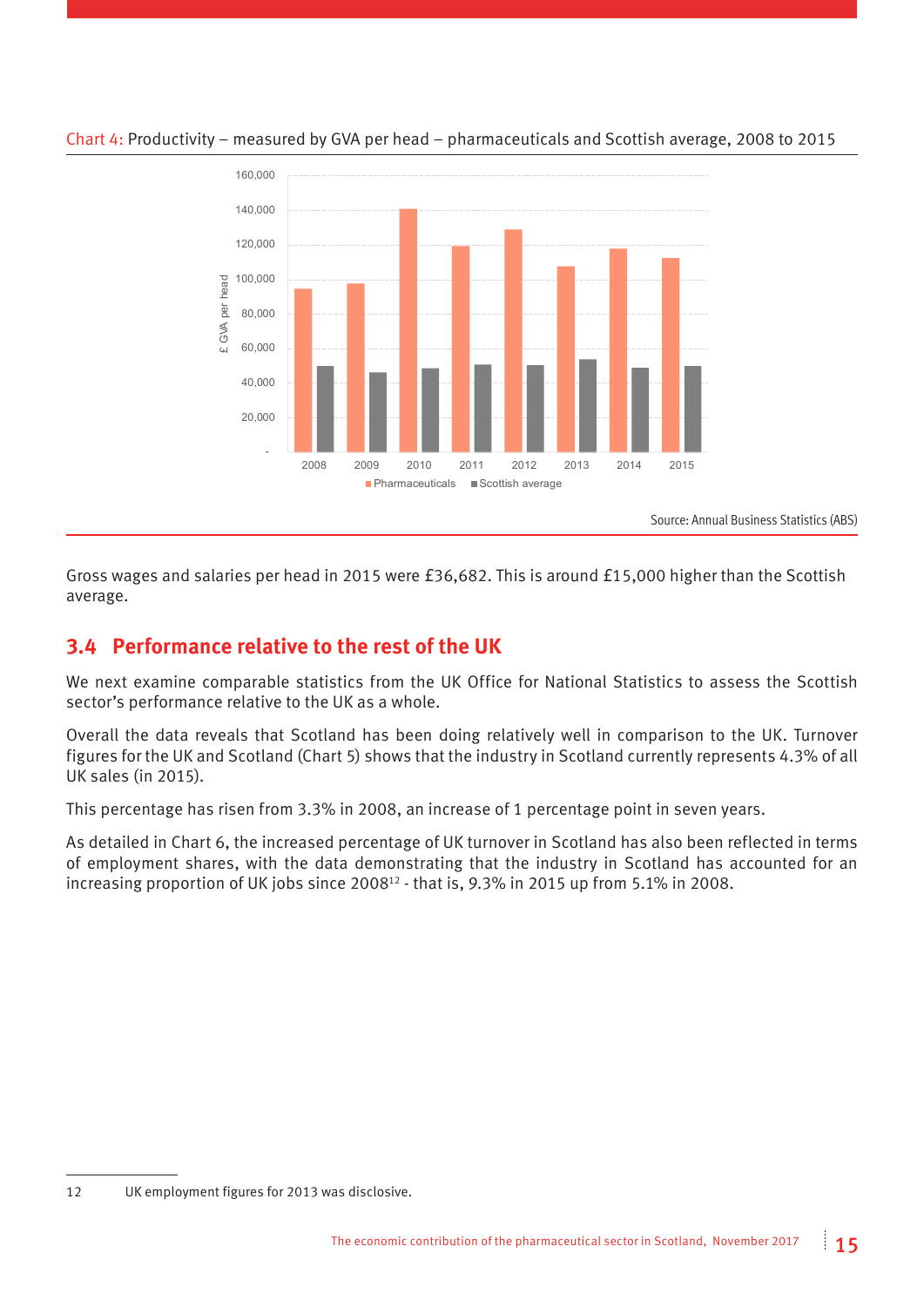

#### Chart 4: Productivity – measured by GVA per head – pharmaceuticals and Scottish average, 2008 to 2015

Source: Annual Business Statistics (ABS)

Gross wages and salaries per head in 2015 were £36,682. This is around £15,000 higher than the Scottish average.

#### **3.4 Performance relative to the rest of the UK**

We next examine comparable statistics from the UK Office for National Statistics to assess the Scottish sector's performance relative to the UK as a whole.

Overall the data reveals that Scotland has been doing relatively well in comparison to the UK. Turnover figures for the UK and Scotland (Chart 5) shows that the industry in Scotland currently represents 4.3% of all UK sales (in 2015).

This percentage has risen from 3.3% in 2008, an increase of 1 percentage point in seven years.

As detailed in Chart 6, the increased percentage of UK turnover in Scotland has also been reflected in terms of employment shares, with the data demonstrating that the industry in Scotland has accounted for an increasing proportion of UK jobs since 2008<sup>12</sup> - that is, 9.3% in 2015 up from 5.1% in 2008.

<sup>12</sup> UK employment figures for 2013 was disclosive.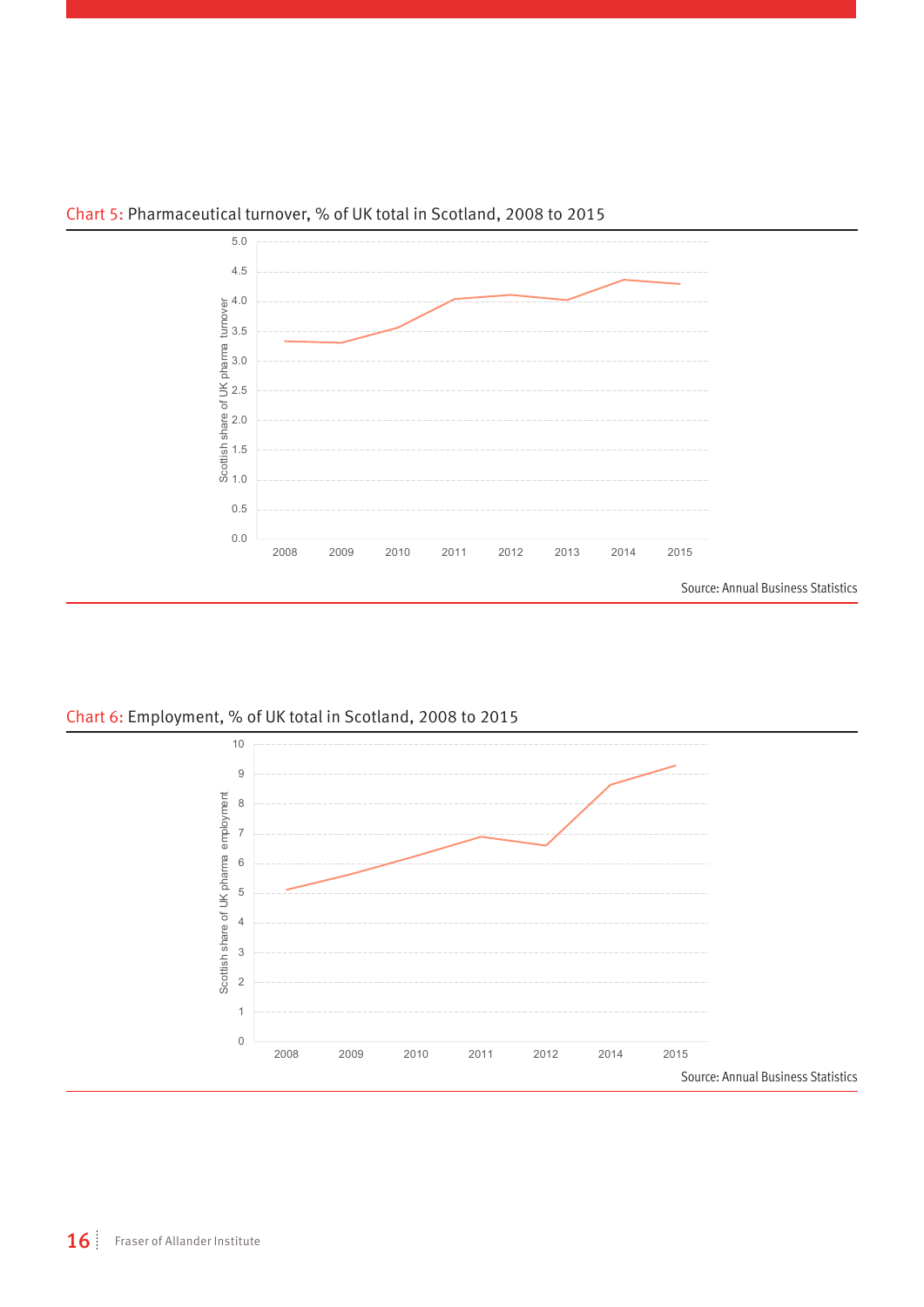

#### Chart 5: Pharmaceutical turnover, % of UK total in Scotland, 2008 to 2015

Chart 6: Employment, % of UK total in Scotland, 2008 to 2015

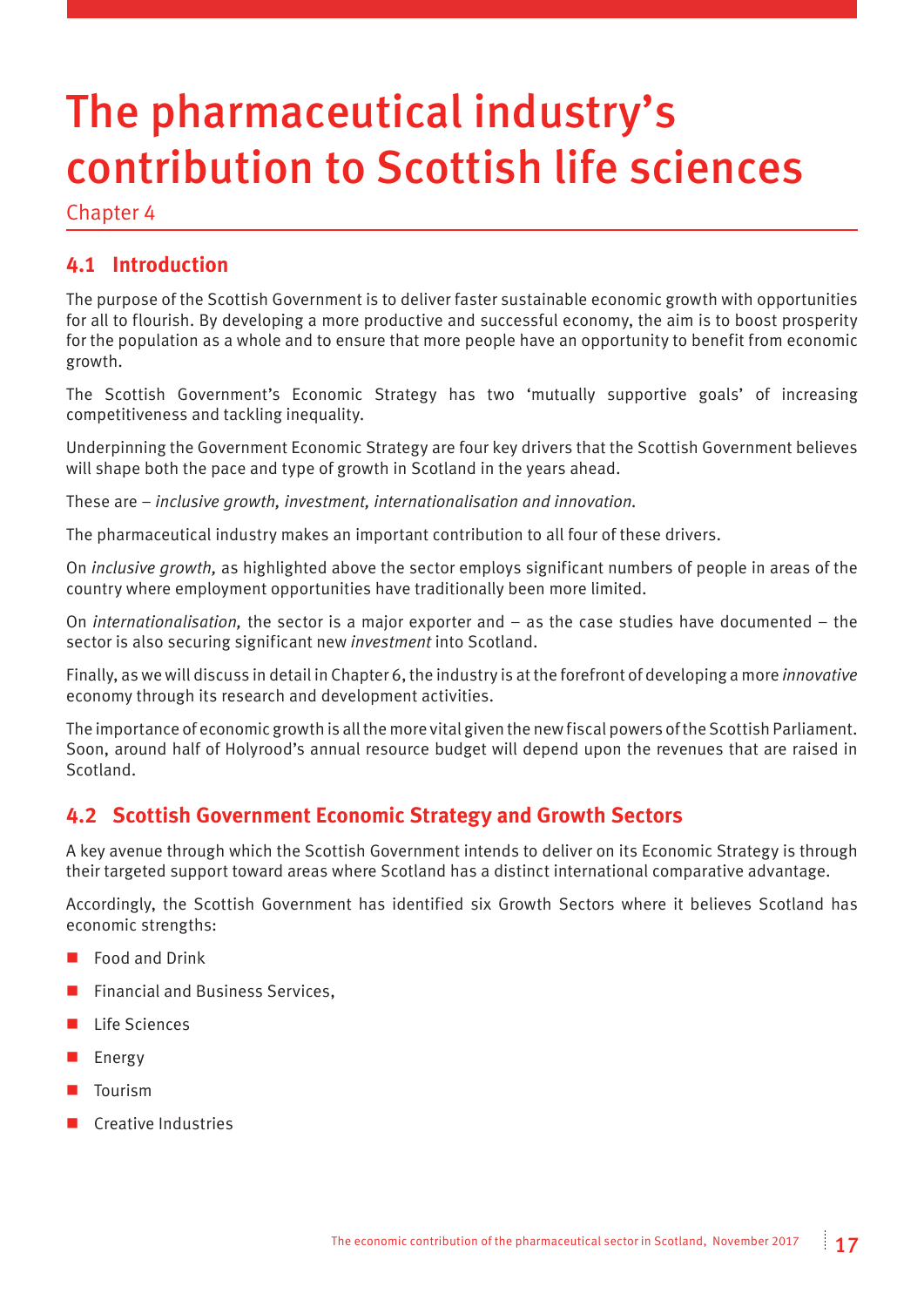# The pharmaceutical industry's contribution to Scottish life sciences

Chapter 4

#### **4.1 Introduction**

The purpose of the Scottish Government is to deliver faster sustainable economic growth with opportunities for all to flourish. By developing a more productive and successful economy, the aim is to boost prosperity for the population as a whole and to ensure that more people have an opportunity to benefit from economic growth.

The Scottish Government's Economic Strategy has two 'mutually supportive goals' of increasing competitiveness and tackling inequality.

Underpinning the Government Economic Strategy are four key drivers that the Scottish Government believes will shape both the pace and type of growth in Scotland in the years ahead.

These are – *inclusive growth, investment, internationalisation and innovation.* 

The pharmaceutical industry makes an important contribution to all four of these drivers.

On *inclusive growth,* as highlighted above the sector employs significant numbers of people in areas of the country where employment opportunities have traditionally been more limited.

On *internationalisation,* the sector is a major exporter and – as the case studies have documented – the sector is also securing significant new *investment* into Scotland.

Finally, as we will discuss in detail in Chapter 6, the industry is at the forefront of developing a more *innovative*  economy through its research and development activities.

The importance of economic growth is all the more vital given the new fiscal powers of the Scottish Parliament. Soon, around half of Holyrood's annual resource budget will depend upon the revenues that are raised in Scotland.

#### **4.2 Scottish Government Economic Strategy and Growth Sectors**

A key avenue through which the Scottish Government intends to deliver on its Economic Strategy is through their targeted support toward areas where Scotland has a distinct international comparative advantage.

Accordingly, the Scottish Government has identified six Growth Sectors where it believes Scotland has economic strengths:

- Food and Drink
- $\blacksquare$  Financial and Business Services,
- Life Sciences
- Energy
- **Tourism**
- **Creative Industries**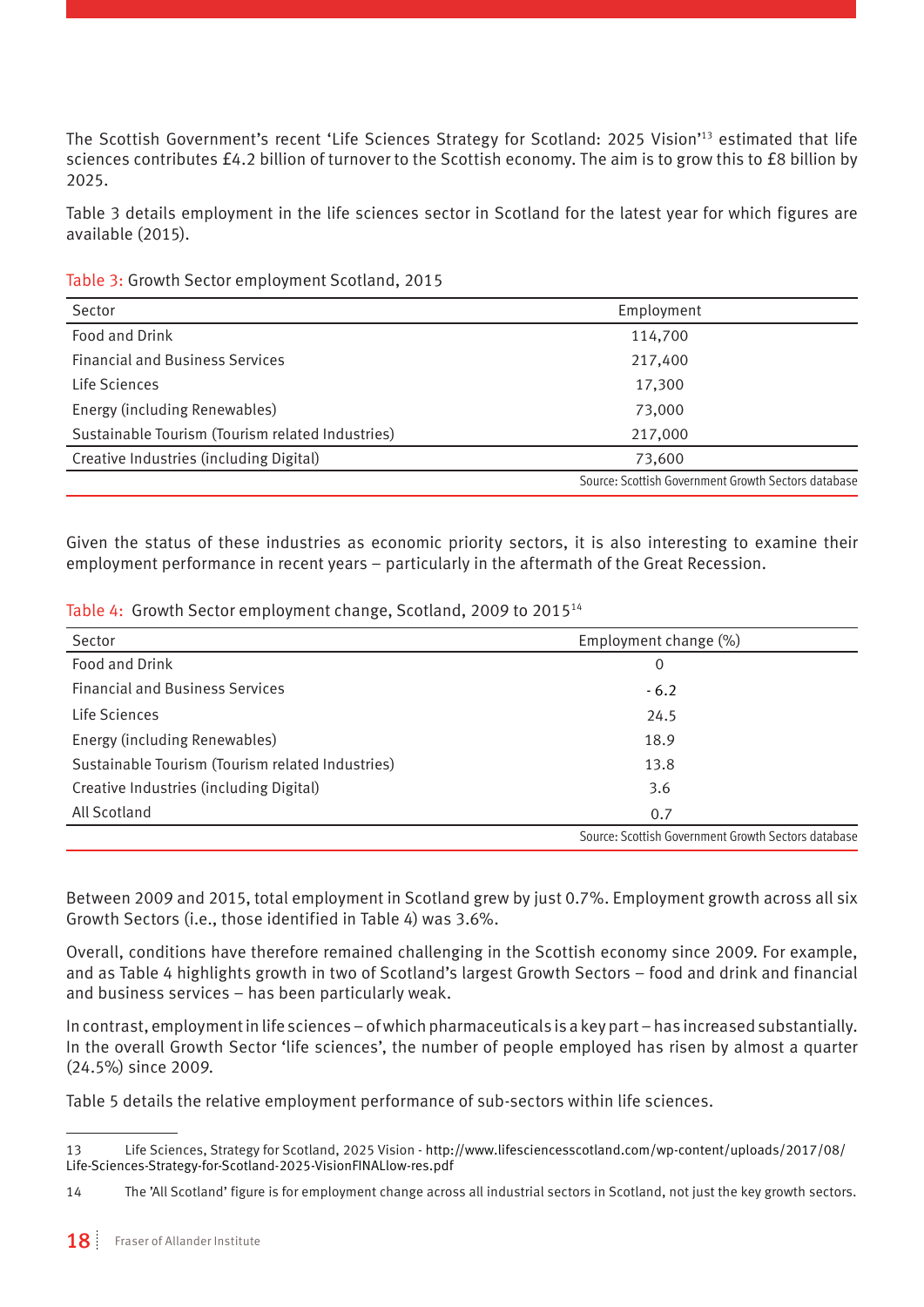The Scottish Government's recent 'Life Sciences Strategy for Scotland: 2025 Vision'13 estimated that life sciences contributes £4.2 billion of turnover to the Scottish economy. The aim is to grow this to £8 billion by 2025.

Table 3 details employment in the life sciences sector in Scotland for the latest year for which figures are available (2015).

Table 3: Growth Sector employment Scotland, 2015

| Sector                                           | Employment                                          |
|--------------------------------------------------|-----------------------------------------------------|
| Food and Drink                                   | 114,700                                             |
| <b>Financial and Business Services</b>           | 217,400                                             |
| Life Sciences                                    | 17,300                                              |
| Energy (including Renewables)                    | 73,000                                              |
| Sustainable Tourism (Tourism related Industries) | 217,000                                             |
| Creative Industries (including Digital)          | 73,600                                              |
|                                                  | Source: Scottish Government Growth Sectors database |

Given the status of these industries as economic priority sectors, it is also interesting to examine their employment performance in recent years – particularly in the aftermath of the Great Recession.

|  |  | Table 4: Growth Sector employment change, Scotland, 2009 to 2015 <sup>14</sup> |
|--|--|--------------------------------------------------------------------------------|
|--|--|--------------------------------------------------------------------------------|

| Sector                                           | Employment change (%)                               |
|--------------------------------------------------|-----------------------------------------------------|
| Food and Drink                                   | 0                                                   |
| <b>Financial and Business Services</b>           | $-6.2$                                              |
| Life Sciences                                    | 24.5                                                |
| Energy (including Renewables)                    | 18.9                                                |
| Sustainable Tourism (Tourism related Industries) | 13.8                                                |
| Creative Industries (including Digital)          | 3.6                                                 |
| All Scotland                                     | 0.7                                                 |
|                                                  | Source: Scottish Government Growth Sectors database |

Between 2009 and 2015, total employment in Scotland grew by just 0.7%. Employment growth across all six Growth Sectors (i.e., those identified in Table 4) was 3.6%.

Overall, conditions have therefore remained challenging in the Scottish economy since 2009. For example, and as Table 4 highlights growth in two of Scotland's largest Growth Sectors – food and drink and financial and business services – has been particularly weak.

In contrast, employment in life sciences – of which pharmaceuticals is a key part – has increased substantially. In the overall Growth Sector 'life sciences', the number of people employed has risen by almost a quarter (24.5%) since 2009.

Table 5 details the relative employment performance of sub-sectors within life sciences.

<sup>13</sup> Life Sciences, Strategy for Scotland, 2025 Vision - http://www.lifesciencesscotland.com/wp-content/uploads/2017/08/ Life-Sciences-Strategy-for-Scotland-2025-VisionFINALlow-res.pdf

<sup>14</sup> The 'All Scotland' figure is for employment change across all industrial sectors in Scotland, not just the key growth sectors.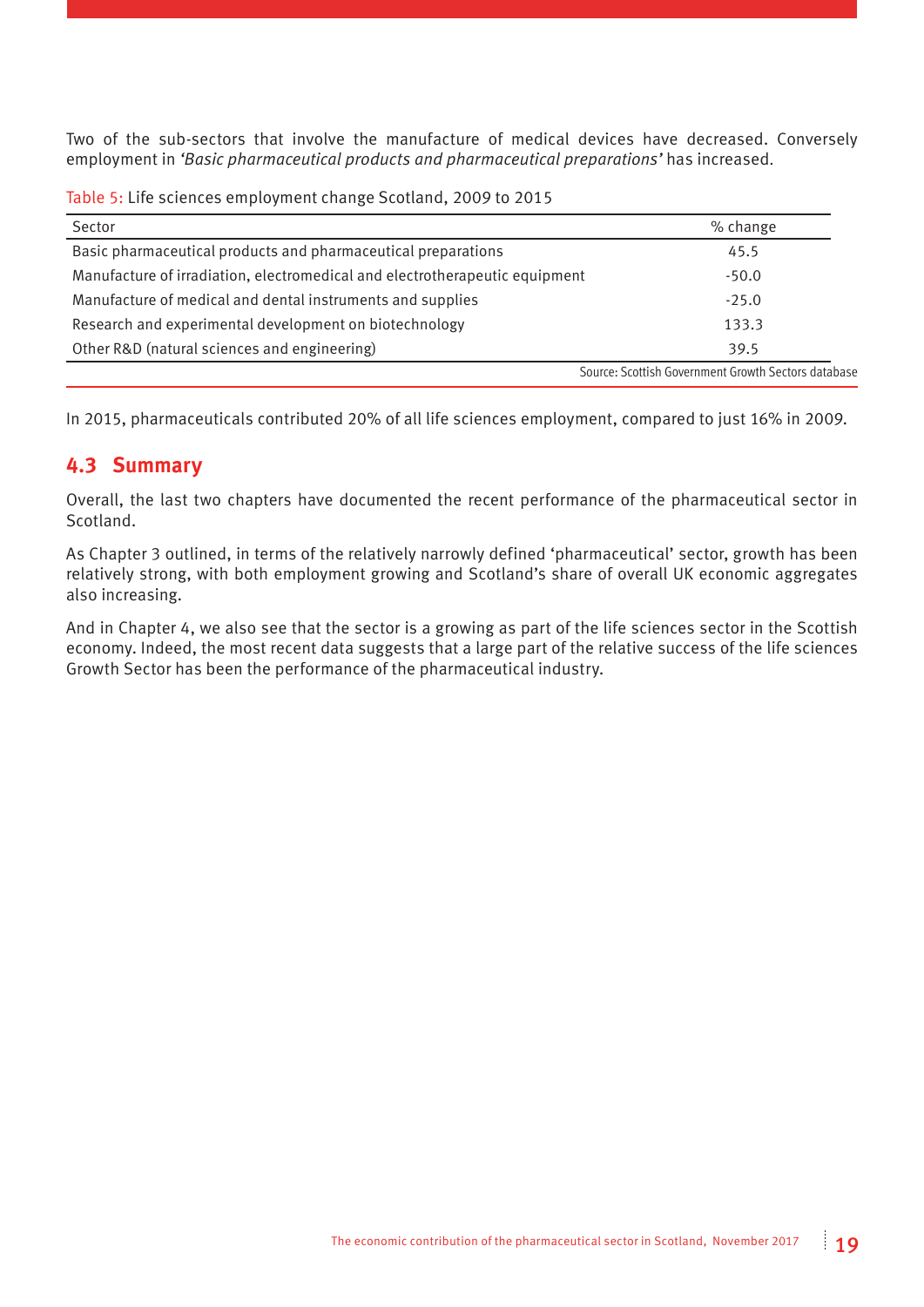Two of the sub-sectors that involve the manufacture of medical devices have decreased. Conversely employment in *'Basic pharmaceutical products and pharmaceutical preparations'* has increased.

Table 5: Life sciences employment change Scotland, 2009 to 2015

| Sector                                                                      | % change                                            |
|-----------------------------------------------------------------------------|-----------------------------------------------------|
| Basic pharmaceutical products and pharmaceutical preparations               | 45.5                                                |
| Manufacture of irradiation, electromedical and electrotherapeutic equipment | $-50.0$                                             |
| Manufacture of medical and dental instruments and supplies                  | $-25.0$                                             |
| Research and experimental development on biotechnology                      | 133.3                                               |
| Other R&D (natural sciences and engineering)                                | 39.5                                                |
|                                                                             | Source: Scottish Government Growth Sectors database |

In 2015, pharmaceuticals contributed 20% of all life sciences employment, compared to just 16% in 2009.

#### **4.3 Summary**

Overall, the last two chapters have documented the recent performance of the pharmaceutical sector in Scotland.

As Chapter 3 outlined, in terms of the relatively narrowly defined 'pharmaceutical' sector, growth has been relatively strong, with both employment growing and Scotland's share of overall UK economic aggregates also increasing.

And in Chapter 4, we also see that the sector is a growing as part of the life sciences sector in the Scottish economy. Indeed, the most recent data suggests that a large part of the relative success of the life sciences Growth Sector has been the performance of the pharmaceutical industry.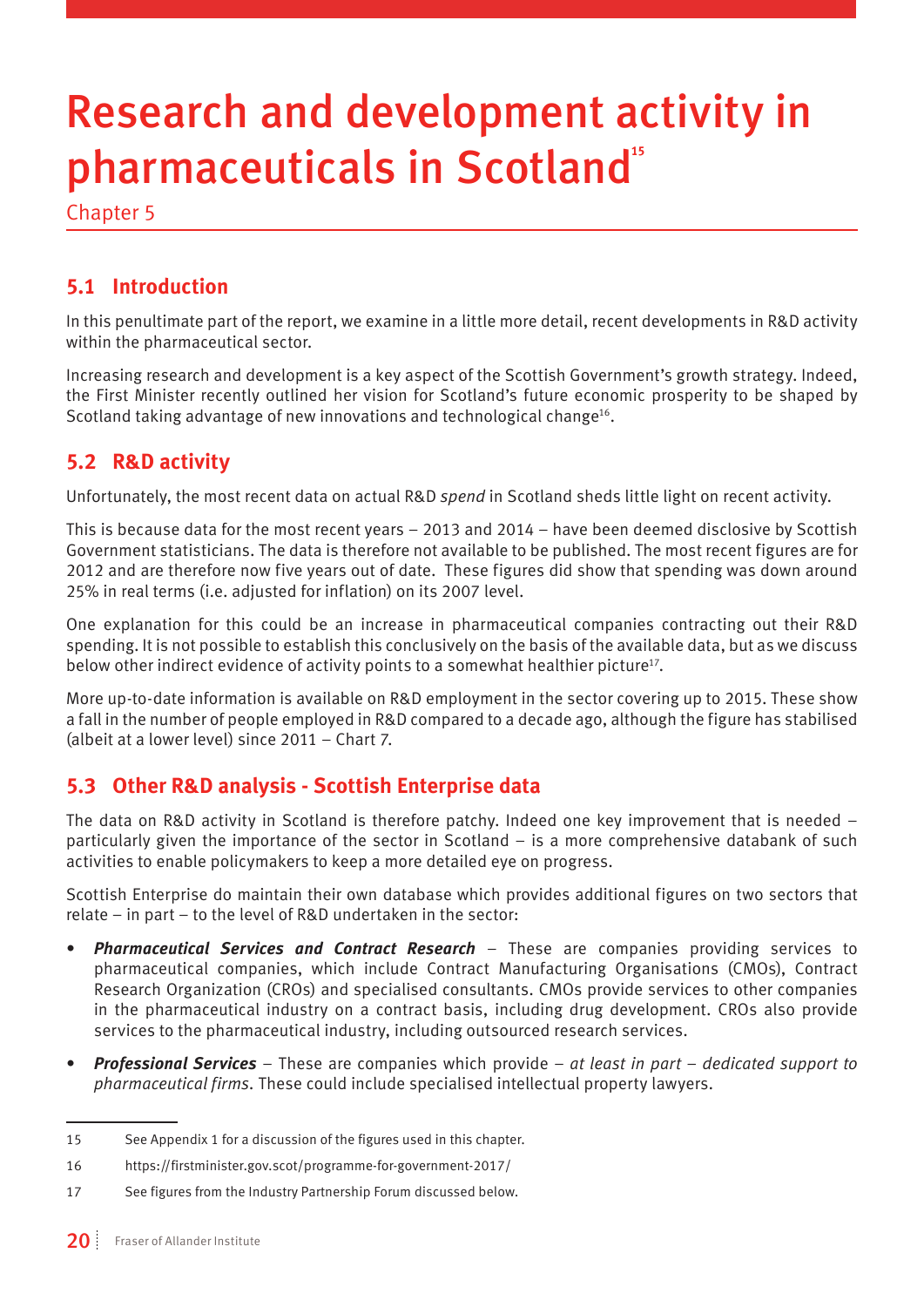# Research and development activity in pharmaceuticals in Scotland**<sup>15</sup>**

Chapter 5

#### **5.1 Introduction**

In this penultimate part of the report, we examine in a little more detail, recent developments in R&D activity within the pharmaceutical sector.

Increasing research and development is a key aspect of the Scottish Government's growth strategy. Indeed, the First Minister recently outlined her vision for Scotland's future economic prosperity to be shaped by Scotland taking advantage of new innovations and technological change<sup>16</sup>.

#### **5.2 R&D activity**

Unfortunately, the most recent data on actual R&D *spend* in Scotland sheds little light on recent activity.

This is because data for the most recent years – 2013 and 2014 – have been deemed disclosive by Scottish Government statisticians. The data is therefore not available to be published. The most recent figures are for 2012 and are therefore now five years out of date. These figures did show that spending was down around 25% in real terms (i.e. adjusted for inflation) on its 2007 level.

One explanation for this could be an increase in pharmaceutical companies contracting out their R&D spending. It is not possible to establish this conclusively on the basis of the available data, but as we discuss below other indirect evidence of activity points to a somewhat healthier picture<sup>17</sup>.

More up-to-date information is available on R&D employment in the sector covering up to 2015. These show a fall in the number of people employed in R&D compared to a decade ago, although the figure has stabilised (albeit at a lower level) since 2011 – Chart 7.

#### **5.3 Other R&D analysis - Scottish Enterprise data**

The data on R&D activity in Scotland is therefore patchy. Indeed one key improvement that is needed – particularly given the importance of the sector in Scotland – is a more comprehensive databank of such activities to enable policymakers to keep a more detailed eye on progress.

Scottish Enterprise do maintain their own database which provides additional figures on two sectors that relate – in part – to the level of R&D undertaken in the sector:

- *• Pharmaceutical Services and Contract Research* These are companies providing services to pharmaceutical companies, which include Contract Manufacturing Organisations (CMOs), Contract Research Organization (CROs) and specialised consultants. CMOs provide services to other companies in the pharmaceutical industry on a contract basis, including drug development. CROs also provide services to the pharmaceutical industry, including outsourced research services.
- *• Professional Services* These are companies which provide *at least in part dedicated support to pharmaceutical firms.* These could include specialised intellectual property lawyers.

<sup>15</sup> See Appendix 1 for a discussion of the figures used in this chapter.

<sup>16</sup> <https://firstminister.gov.scot/programme-for-government-2017/>

<sup>17</sup> See figures from the Industry Partnership Forum discussed below.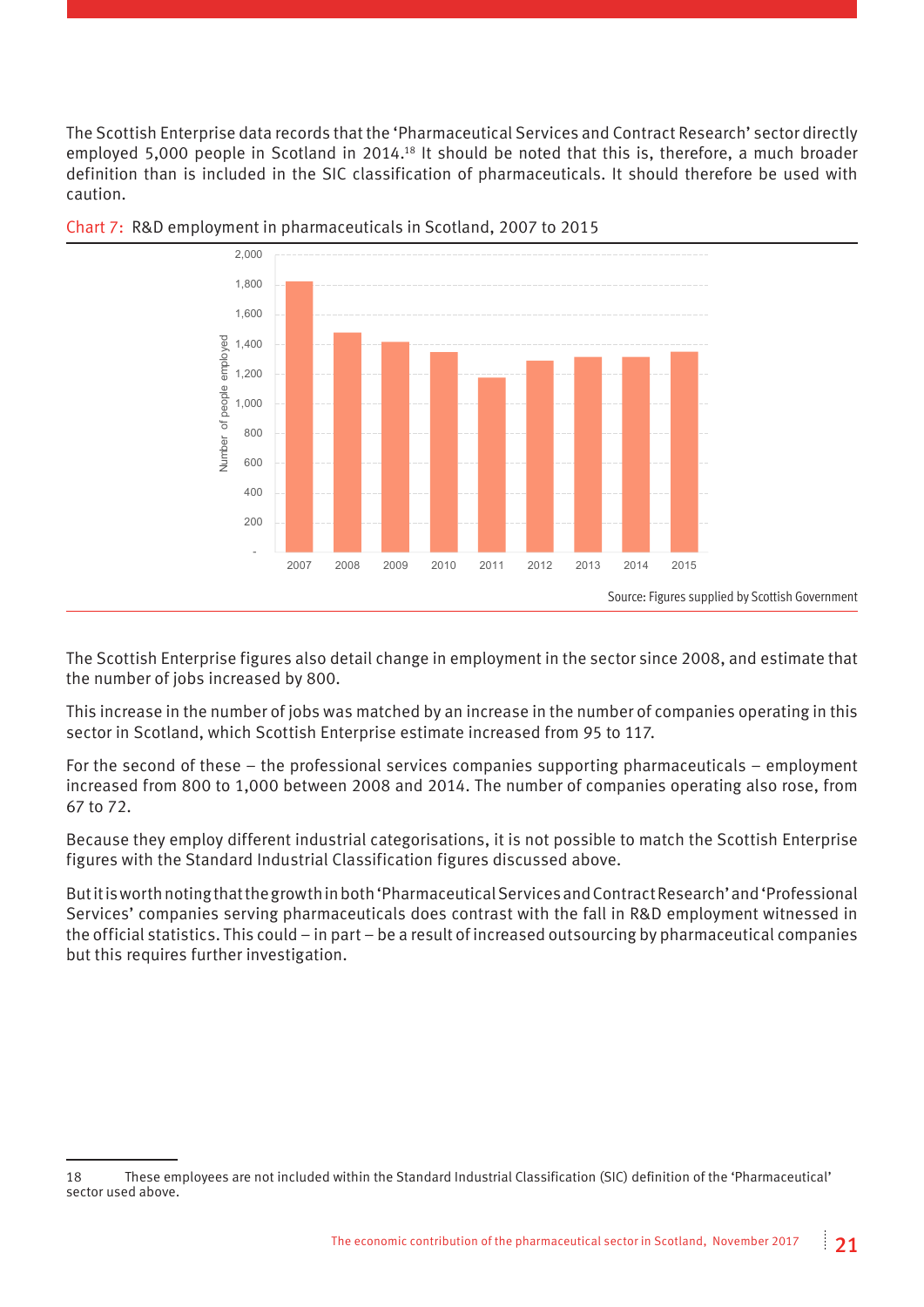The Scottish Enterprise data records that the 'Pharmaceutical Services and Contract Research' sector directly employed 5,000 people in Scotland in 2014.18 It should be noted that this is, therefore, a much broader definition than is included in the SIC classification of pharmaceuticals. It should therefore be used with caution.





The Scottish Enterprise figures also detail change in employment in the sector since 2008, and estimate that the number of jobs increased by 800.

This increase in the number of jobs was matched by an increase in the number of companies operating in this sector in Scotland, which Scottish Enterprise estimate increased from 95 to 117.

For the second of these – the professional services companies supporting pharmaceuticals – employment increased from 800 to 1,000 between 2008 and 2014. The number of companies operating also rose, from 67 to 72.

Because they employ different industrial categorisations, it is not possible to match the Scottish Enterprise figures with the Standard Industrial Classification figures discussed above.

But it is worth noting that the growth in both 'Pharmaceutical Services and Contract Research' and 'Professional Services' companies serving pharmaceuticals does contrast with the fall in R&D employment witnessed in the official statistics. This could – in part – be a result of increased outsourcing by pharmaceutical companies but this requires further investigation.

<sup>18</sup> These employees are not included within the Standard Industrial Classification (SIC) definition of the 'Pharmaceutical' sector used above.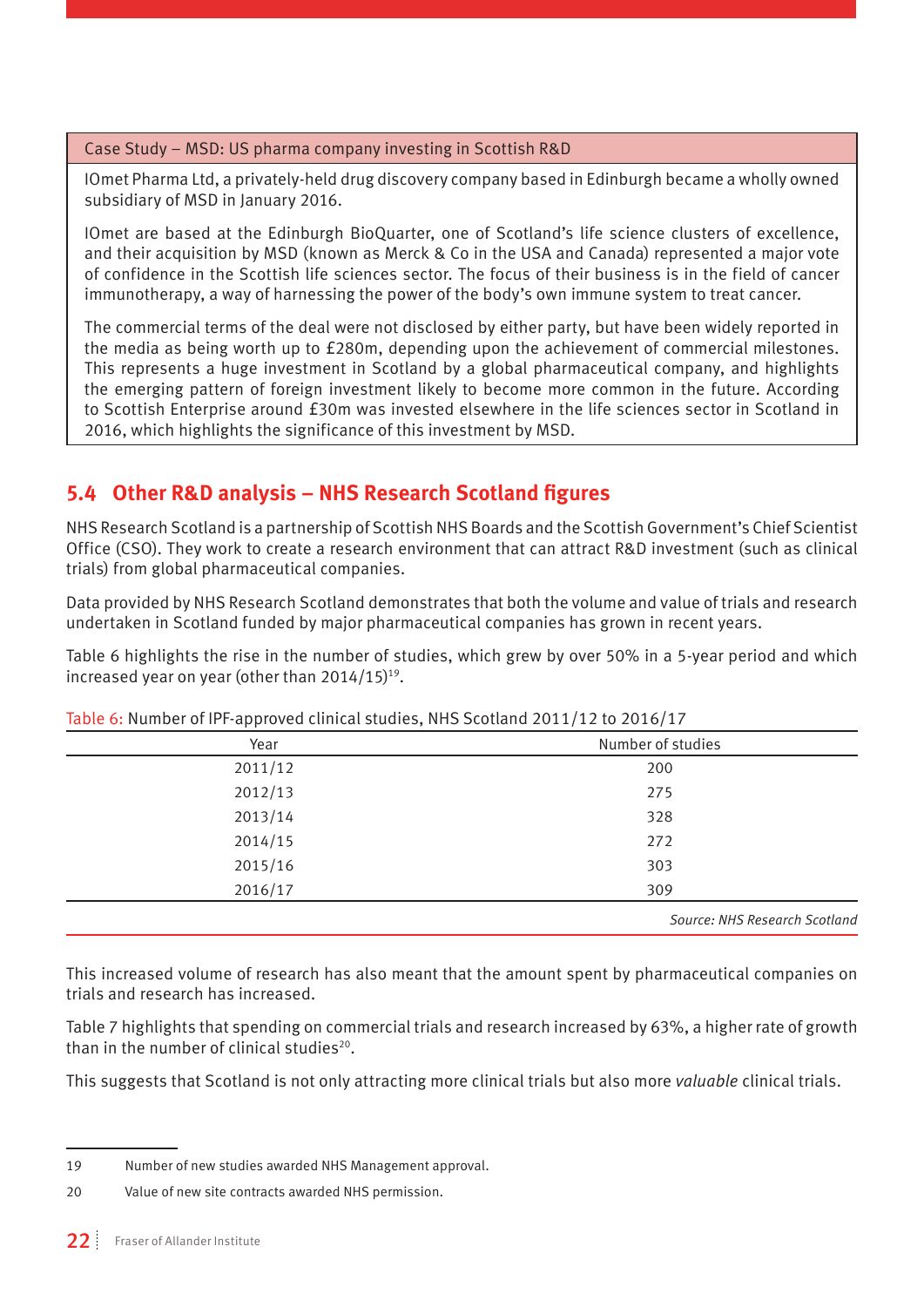#### Case Study – MSD: US pharma company investing in Scottish R&D

IOmet Pharma Ltd, a privately-held drug discovery company based in Edinburgh became a wholly owned subsidiary of MSD in January 2016.

IOmet are based at the Edinburgh BioQuarter, one of Scotland's life science clusters of excellence, and their acquisition by MSD (known as Merck & Co in the USA and Canada) represented a major vote of confidence in the Scottish life sciences sector. The focus of their business is in the field of cancer immunotherapy, a way of harnessing the power of the body's own immune system to treat cancer.

The commercial terms of the deal were not disclosed by either party, but have been widely reported in the media as being worth up to £280m, depending upon the achievement of commercial milestones. This represents a huge investment in Scotland by a global pharmaceutical company, and highlights the emerging pattern of foreign investment likely to become more common in the future. According to Scottish Enterprise around £30m was invested elsewhere in the life sciences sector in Scotland in 2016, which highlights the significance of this investment by MSD.

#### **5.4 Other R&D analysis – NHS Research Scotland figures**

NHS Research Scotland is a partnership of Scottish NHS Boards and the Scottish Government's Chief Scientist Office (CSO). They work to create a research environment that can attract R&D investment (such as clinical trials) from global pharmaceutical companies.

Data provided by NHS Research Scotland demonstrates that both the volume and value of trials and research undertaken in Scotland funded by major pharmaceutical companies has grown in recent years.

Table 6 highlights the rise in the number of studies, which grew by over 50% in a 5-year period and which increased year on year (other than 2014/15)19.

| Year    | Number of studies |
|---------|-------------------|
| 2011/12 | 200               |
| 2012/13 | 275               |
| 2013/14 | 328               |
| 2014/15 | 272               |
| 2015/16 | 303               |
| 2016/17 | 309               |
|         |                   |

Table 6: Number of IPF-approved clinical studies, NHS Scotland 2011/12 to 2016/17

*Source: NHS Research Scotland*

This increased volume of research has also meant that the amount spent by pharmaceutical companies on trials and research has increased.

Table 7 highlights that spending on commercial trials and research increased by 63%, a higher rate of growth than in the number of clinical studies20.

This suggests that Scotland is not only attracting more clinical trials but also more *valuable* clinical trials.

19 Number of new studies awarded NHS Management approval.

20 Value of new site contracts awarded NHS permission.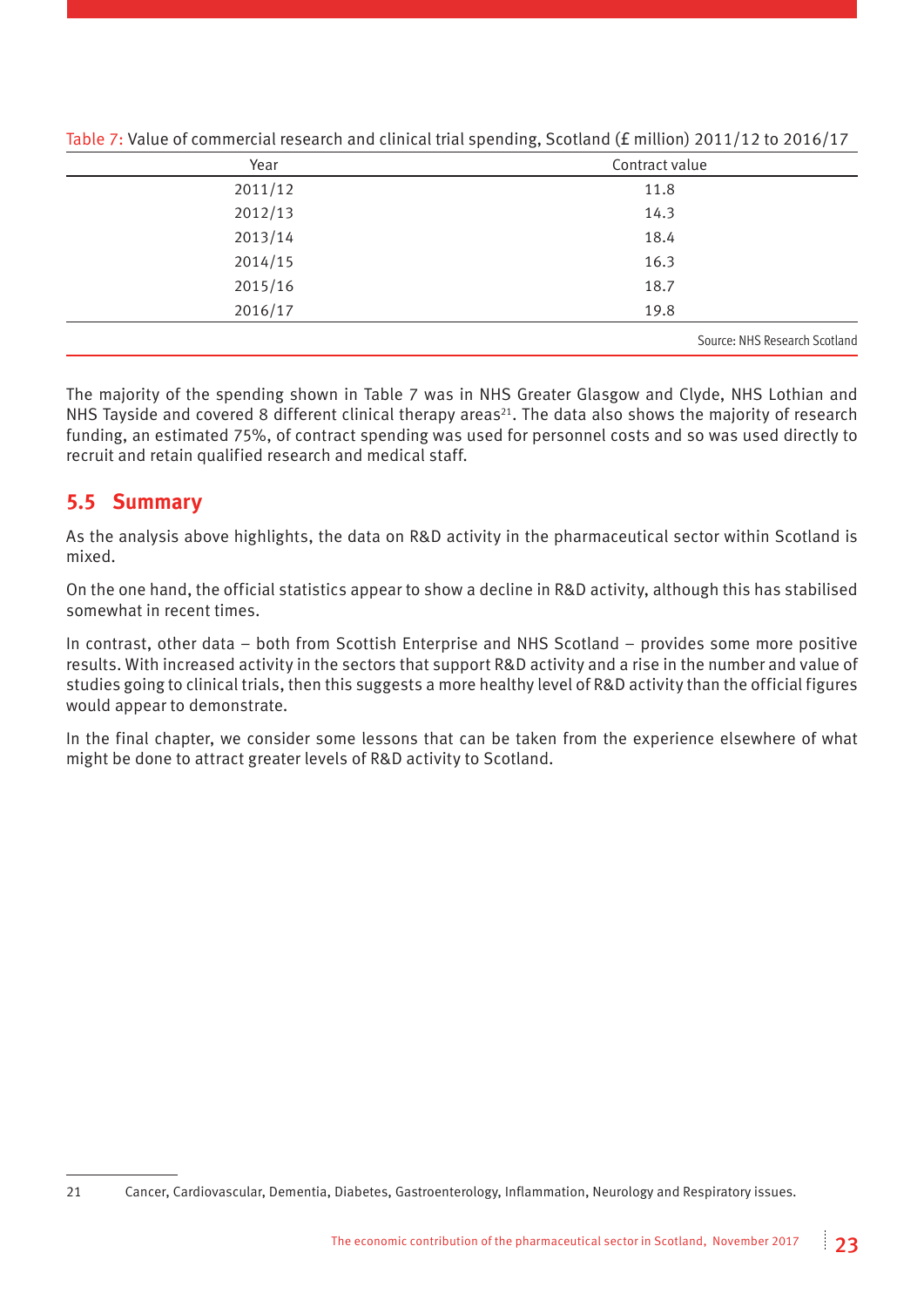| Year    | Contract value                |
|---------|-------------------------------|
| 2011/12 | 11.8                          |
| 2012/13 | 14.3                          |
| 2013/14 | 18.4                          |
| 2014/15 | 16.3                          |
| 2015/16 | 18.7                          |
| 2016/17 | 19.8                          |
|         | Source: NHS Research Scotland |

Table 7: Value of commercial research and clinical trial spending, Scotland (£ million) 2011/12 to 2016/17

The majority of the spending shown in Table 7 was in NHS Greater Glasgow and Clyde, NHS Lothian and NHS Tayside and covered 8 different clinical therapy areas<sup>21</sup>. The data also shows the majority of research funding, an estimated 75%, of contract spending was used for personnel costs and so was used directly to recruit and retain qualified research and medical staff.

#### **5.5 Summary**

As the analysis above highlights, the data on R&D activity in the pharmaceutical sector within Scotland is mixed.

On the one hand, the official statistics appear to show a decline in R&D activity, although this has stabilised somewhat in recent times.

In contrast, other data – both from Scottish Enterprise and NHS Scotland – provides some more positive results. With increased activity in the sectors that support R&D activity and a rise in the number and value of studies going to clinical trials, then this suggests a more healthy level of R&D activity than the official figures would appear to demonstrate.

In the final chapter, we consider some lessons that can be taken from the experience elsewhere of what might be done to attract greater levels of R&D activity to Scotland.

<sup>21</sup> Cancer, Cardiovascular, Dementia, Diabetes, Gastroenterology, Inflammation, Neurology and Respiratory issues.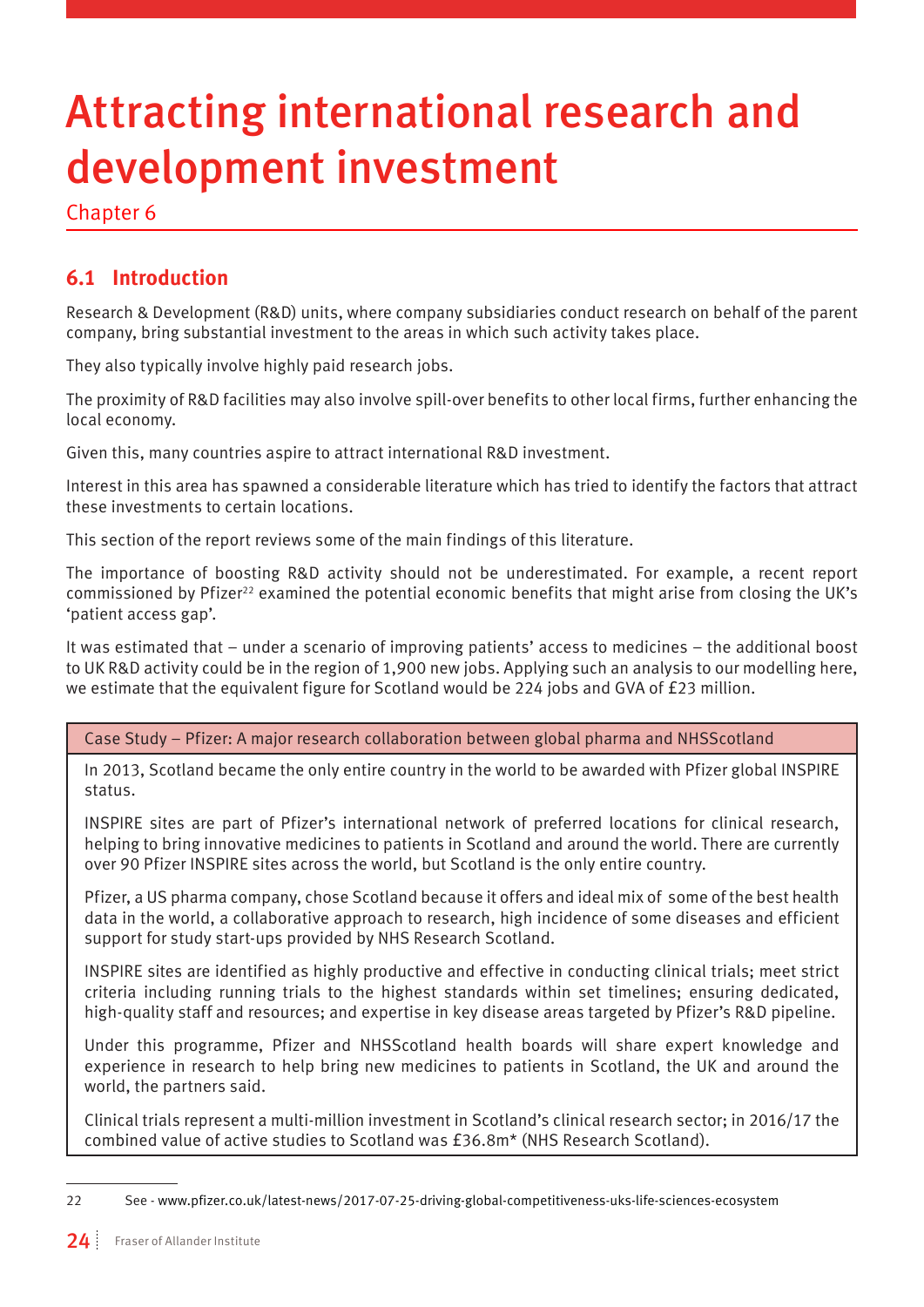# Attracting international research and development investment

Chapter 6

#### **6.1 Introduction**

Research & Development (R&D) units, where company subsidiaries conduct research on behalf of the parent company, bring substantial investment to the areas in which such activity takes place.

They also typically involve highly paid research jobs.

The proximity of R&D facilities may also involve spill-over benefits to other local firms, further enhancing the local economy.

Given this, many countries aspire to attract international R&D investment.

Interest in this area has spawned a considerable literature which has tried to identify the factors that attract these investments to certain locations.

This section of the report reviews some of the main findings of this literature.

The importance of boosting R&D activity should not be underestimated. For example, a recent report commissioned by Pfizer<sup>22</sup> examined the potential economic benefits that might arise from closing the UK's 'patient access gap'.

It was estimated that – under a scenario of improving patients' access to medicines – the additional boost to UK R&D activity could be in the region of 1,900 new jobs. Applying such an analysis to our modelling here, we estimate that the equivalent figure for Scotland would be 224 jobs and GVA of £23 million.

Case Study – Pfizer: A major research collaboration between global pharma and NHSScotland

In 2013, Scotland became the only entire country in the world to be awarded with Pfizer global INSPIRE status.

INSPIRE sites are part of Pfizer's international network of preferred locations for clinical research, helping to bring innovative medicines to patients in Scotland and around the world. There are currently over 90 Pfizer INSPIRE sites across the world, but Scotland is the only entire country.

Pfizer, a US pharma company, chose Scotland because it offers and ideal mix of some of the best health data in the world, a collaborative approach to research, high incidence of some diseases and efficient support for study start-ups provided by NHS Research Scotland.

INSPIRE sites are identified as highly productive and effective in conducting clinical trials; meet strict criteria including running trials to the highest standards within set timelines; ensuring dedicated, high-quality staff and resources; and expertise in key disease areas targeted by Pfizer's R&D pipeline.

Under this programme, Pfizer and NHSScotland health boards will share expert knowledge and experience in research to help bring new medicines to patients in Scotland, the UK and around the world, the partners said.

Clinical trials represent a multi-million investment in Scotland's clinical research sector; in 2016/17 the combined value of active studies to Scotland was £36.8m\* (NHS Research Scotland).

<sup>22</sup> See - [www.pfizer.co.uk/latest-news/2017-07-25-driving-global-competitiveness-uks-life-sciences-ecosystem](http://www.pfizer.co.uk/latest-news/2017-07-25-driving-global-competitiveness-uks-life-sciences-ecosystem)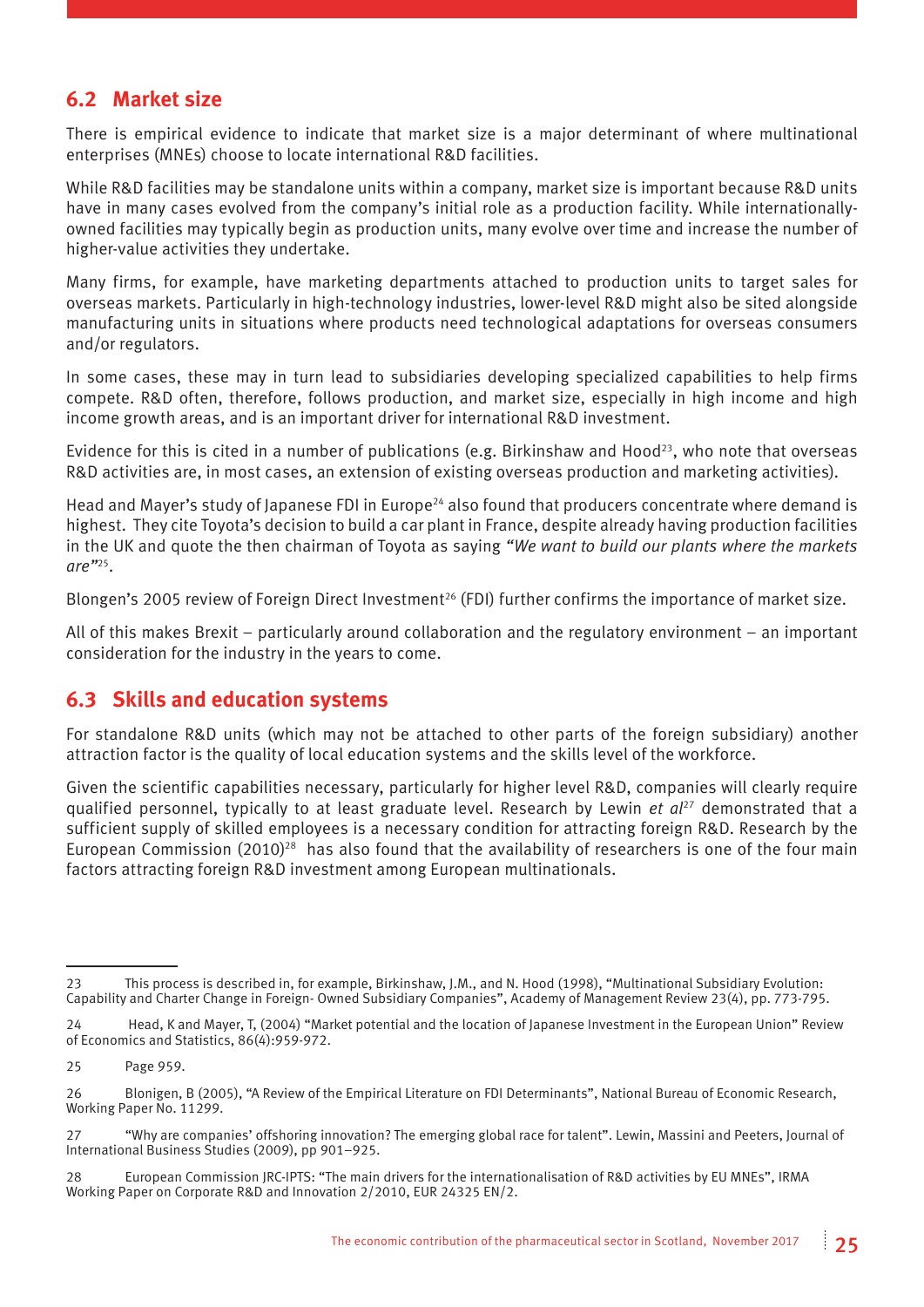#### **6.2 Market size**

There is empirical evidence to indicate that market size is a major determinant of where multinational enterprises (MNEs) choose to locate international R&D facilities.

While R&D facilities may be standalone units within a company, market size is important because R&D units have in many cases evolved from the company's initial role as a production facility. While internationallyowned facilities may typically begin as production units, many evolve over time and increase the number of higher-value activities they undertake.

Many firms, for example, have marketing departments attached to production units to target sales for overseas markets. Particularly in high-technology industries, lower-level R&D might also be sited alongside manufacturing units in situations where products need technological adaptations for overseas consumers and/or regulators.

In some cases, these may in turn lead to subsidiaries developing specialized capabilities to help firms compete. R&D often, therefore, follows production, and market size, especially in high income and high income growth areas, and is an important driver for international R&D investment.

Evidence for this is cited in a number of publications (e.g. Birkinshaw and Hood<sup>23</sup>, who note that overseas R&D activities are, in most cases, an extension of existing overseas production and marketing activities).

Head and Mayer's study of Japanese FDI in Europe<sup>24</sup> also found that producers concentrate where demand is highest. They cite Toyota's decision to build a car plant in France, despite already having production facilities in the UK and quote the then chairman of Toyota as saying *"We want to build our plants where the markets are"*<sup>25</sup>*.* 

Blongen's 2005 review of Foreign Direct Investment<sup>26</sup> (FDI) further confirms the importance of market size.

All of this makes Brexit – particularly around collaboration and the regulatory environment – an important consideration for the industry in the years to come.

#### **6.3 Skills and education systems**

For standalone R&D units (which may not be attached to other parts of the foreign subsidiary) another attraction factor is the quality of local education systems and the skills level of the workforce.

Given the scientific capabilities necessary, particularly for higher level R&D, companies will clearly require qualified personnel, typically to at least graduate level. Research by Lewin *et al*27 demonstrated that a sufficient supply of skilled employees is a necessary condition for attracting foreign R&D. Research by the European Commission (2010)<sup>28</sup> has also found that the availability of researchers is one of the four main factors attracting foreign R&D investment among European multinationals.

<sup>23</sup> This process is described in, for example, Birkinshaw, J.M., and N. Hood (1998), "Multinational Subsidiary Evolution: Capability and Charter Change in Foreign- Owned Subsidiary Companies", Academy of Management Review 23(4), pp. 773-795.

<sup>24</sup> Head, K and Mayer, T, (2004) "Market potential and the location of Japanese Investment in the European Union" Review of Economics and Statistics, 86(4):959-972.

<sup>25</sup> Page 959.

<sup>26</sup> Blonigen, B (2005), "A Review of the Empirical Literature on FDI Determinants", National Bureau of Economic Research, Working Paper No. 11299.

<sup>27 &</sup>quot;Why are companies' offshoring innovation? The emerging global race for talent". Lewin, Massini and Peeters, Journal of International Business Studies (2009), pp 901–925.

<sup>28</sup> European Commission JRC-IPTS: "The main drivers for the internationalisation of R&D activities by EU MNEs", IRMA Working Paper on Corporate R&D and Innovation 2/2010, EUR 24325 EN/2.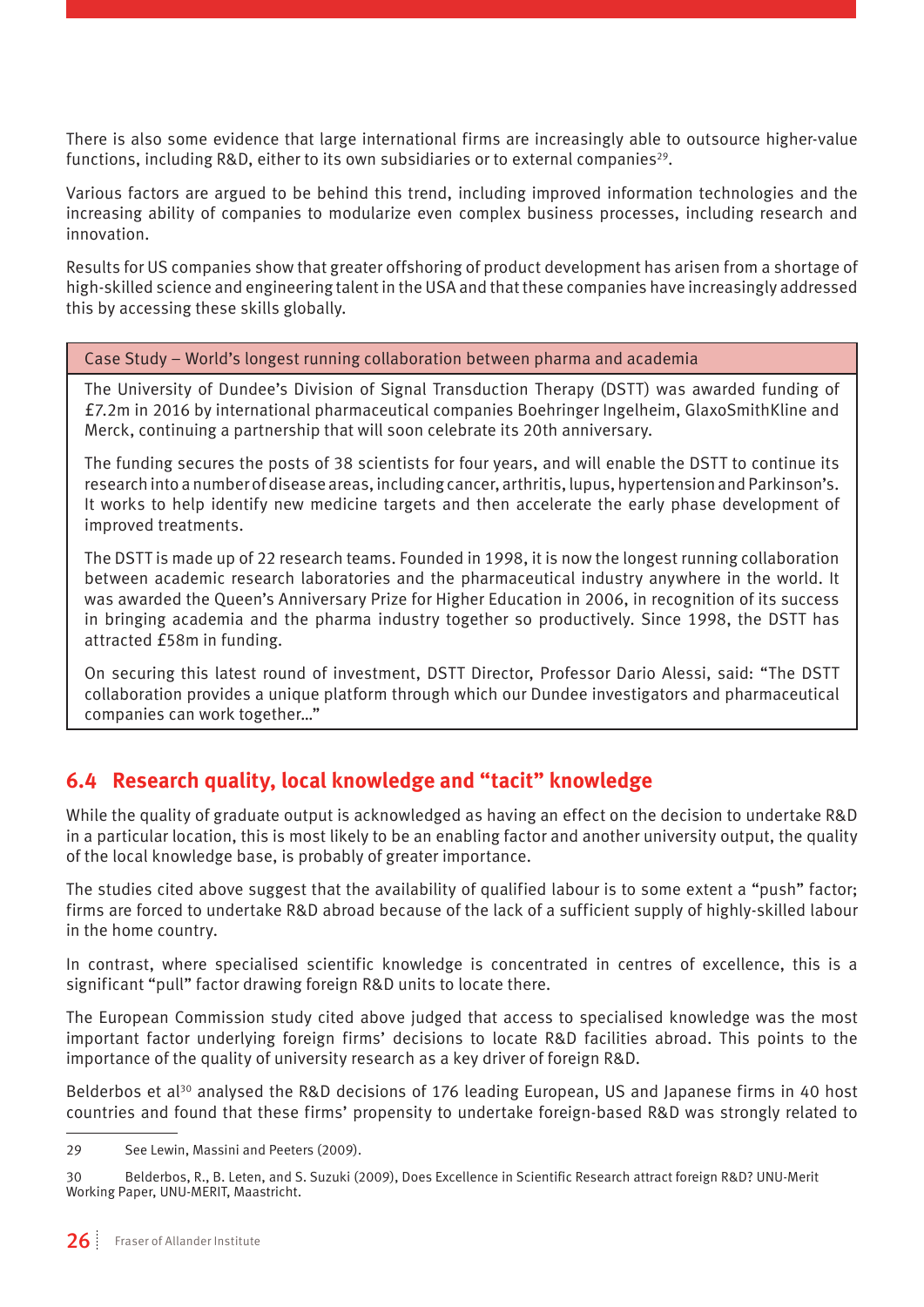There is also some evidence that large international firms are increasingly able to outsource higher-value functions, including R&D, either to its own subsidiaries or to external companies<sup>29</sup>.

Various factors are argued to be behind this trend, including improved information technologies and the increasing ability of companies to modularize even complex business processes, including research and innovation.

Results for US companies show that greater offshoring of product development has arisen from a shortage of high-skilled science and engineering talent in the USA and that these companies have increasingly addressed this by accessing these skills globally.

Case Study – World's longest running collaboration between pharma and academia

The University of Dundee's Division of Signal Transduction Therapy (DSTT) was awarded funding of £7.2m in 2016 by international pharmaceutical companies Boehringer Ingelheim, GlaxoSmithKline and Merck, continuing a partnership that will soon celebrate its 20th anniversary.

The funding secures the posts of 38 scientists for four years, and will enable the DSTT to continue its research into a number of disease areas, including cancer, arthritis, lupus, hypertension and Parkinson's. It works to help identify new medicine targets and then accelerate the early phase development of improved treatments.

The DSTT is made up of 22 research teams. Founded in 1998, it is now the longest running collaboration between academic research laboratories and the pharmaceutical industry anywhere in the world. It was awarded the Queen's Anniversary Prize for Higher Education in 2006, in recognition of its success in bringing academia and the pharma industry together so productively. Since 1998, the DSTT has attracted £58m in funding.

On securing this latest round of investment, DSTT Director, Professor Dario Alessi, said: "The DSTT collaboration provides a unique platform through which our Dundee investigators and pharmaceutical companies can work together…"

#### **6.4 Research quality, local knowledge and "tacit" knowledge**

While the quality of graduate output is acknowledged as having an effect on the decision to undertake R&D in a particular location, this is most likely to be an enabling factor and another university output, the quality of the local knowledge base, is probably of greater importance.

The studies cited above suggest that the availability of qualified labour is to some extent a "push" factor; firms are forced to undertake R&D abroad because of the lack of a sufficient supply of highly-skilled labour in the home country.

In contrast, where specialised scientific knowledge is concentrated in centres of excellence, this is a significant "pull" factor drawing foreign R&D units to locate there.

The European Commission study cited above judged that access to specialised knowledge was the most important factor underlying foreign firms' decisions to locate R&D facilities abroad. This points to the importance of the quality of university research as a key driver of foreign R&D.

Belderbos et al<sup>30</sup> analysed the R&D decisions of 176 leading European, US and Japanese firms in 40 host countries and found that these firms' propensity to undertake foreign-based R&D was strongly related to

<sup>29</sup> See Lewin, Massini and Peeters (2009).

<sup>30</sup> Belderbos, R., B. Leten, and S. Suzuki (2009), Does Excellence in Scientific Research attract foreign R&D? UNU-Merit Working Paper, UNU-MERIT, Maastricht.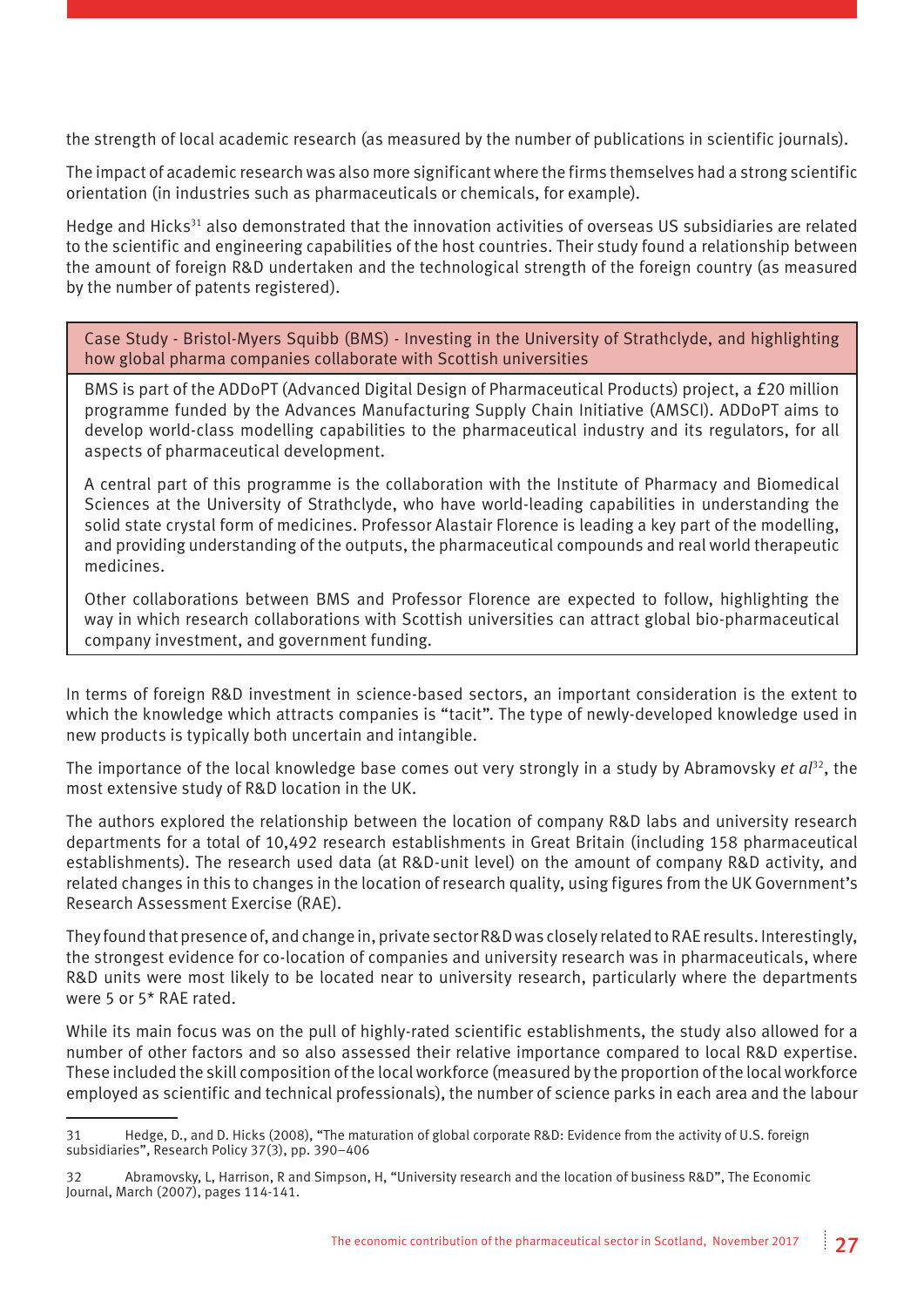the strength of local academic research (as measured by the number of publications in scientific journals).

The impact of academic research was also more significant where the firms themselves had a strong scientific orientation (in industries such as pharmaceuticals or chemicals, for example).

Hedge and Hicks<sup>31</sup> also demonstrated that the innovation activities of overseas US subsidiaries are related to the scientific and engineering capabilities of the host countries. Their study found a relationship between the amount of foreign R&D undertaken and the technological strength of the foreign country (as measured by the number of patents registered).

Case Study - Bristol-Myers Squibb (BMS) - Investing in the University of Strathclyde, and highlighting how global pharma companies collaborate with Scottish universities

BMS is part of the ADDoPT (Advanced Digital Design of Pharmaceutical Products) project, a £20 million programme funded by the Advances Manufacturing Supply Chain Initiative (AMSCI). ADDoPT aims to develop world-class modelling capabilities to the pharmaceutical industry and its regulators, for all aspects of pharmaceutical development.

A central part of this programme is the collaboration with the Institute of Pharmacy and Biomedical Sciences at the University of Strathclyde, who have world-leading capabilities in understanding the solid state crystal form of medicines. Professor Alastair Florence is leading a key part of the modelling, and providing understanding of the outputs, the pharmaceutical compounds and real world therapeutic medicines.

Other collaborations between BMS and Professor Florence are expected to follow, highlighting the way in which research collaborations with Scottish universities can attract global bio-pharmaceutical company investment, and government funding.

In terms of foreign R&D investment in science-based sectors, an important consideration is the extent to which the knowledge which attracts companies is "tacit". The type of newly-developed knowledge used in new products is typically both uncertain and intangible.

The importance of the local knowledge base comes out very strongly in a study by Abramovsky *et al*32, the most extensive study of R&D location in the UK.

The authors explored the relationship between the location of company R&D labs and university research departments for a total of 10,492 research establishments in Great Britain (including 158 pharmaceutical establishments). The research used data (at R&D-unit level) on the amount of company R&D activity, and related changes in this to changes in the location of research quality, using figures from the UK Government's Research Assessment Exercise (RAE).

They found that presence of, and change in, private sector R&D was closely related to RAE results. Interestingly, the strongest evidence for co-location of companies and university research was in pharmaceuticals, where R&D units were most likely to be located near to university research, particularly where the departments were 5 or 5\* RAE rated.

While its main focus was on the pull of highly-rated scientific establishments, the study also allowed for a number of other factors and so also assessed their relative importance compared to local R&D expertise. These included the skill composition of the local workforce (measured by the proportion of the local workforce employed as scientific and technical professionals), the number of science parks in each area and the labour

<sup>31</sup> Hedge, D., and D. Hicks (2008), "The maturation of global corporate R&D: Evidence from the activity of U.S. foreign subsidiaries", Research Policy 37(3), pp. 390–406

<sup>32</sup> Abramovsky, L, Harrison, R and Simpson, H, "University research and the location of business R&D", The Economic Journal, March (2007), pages 114-141.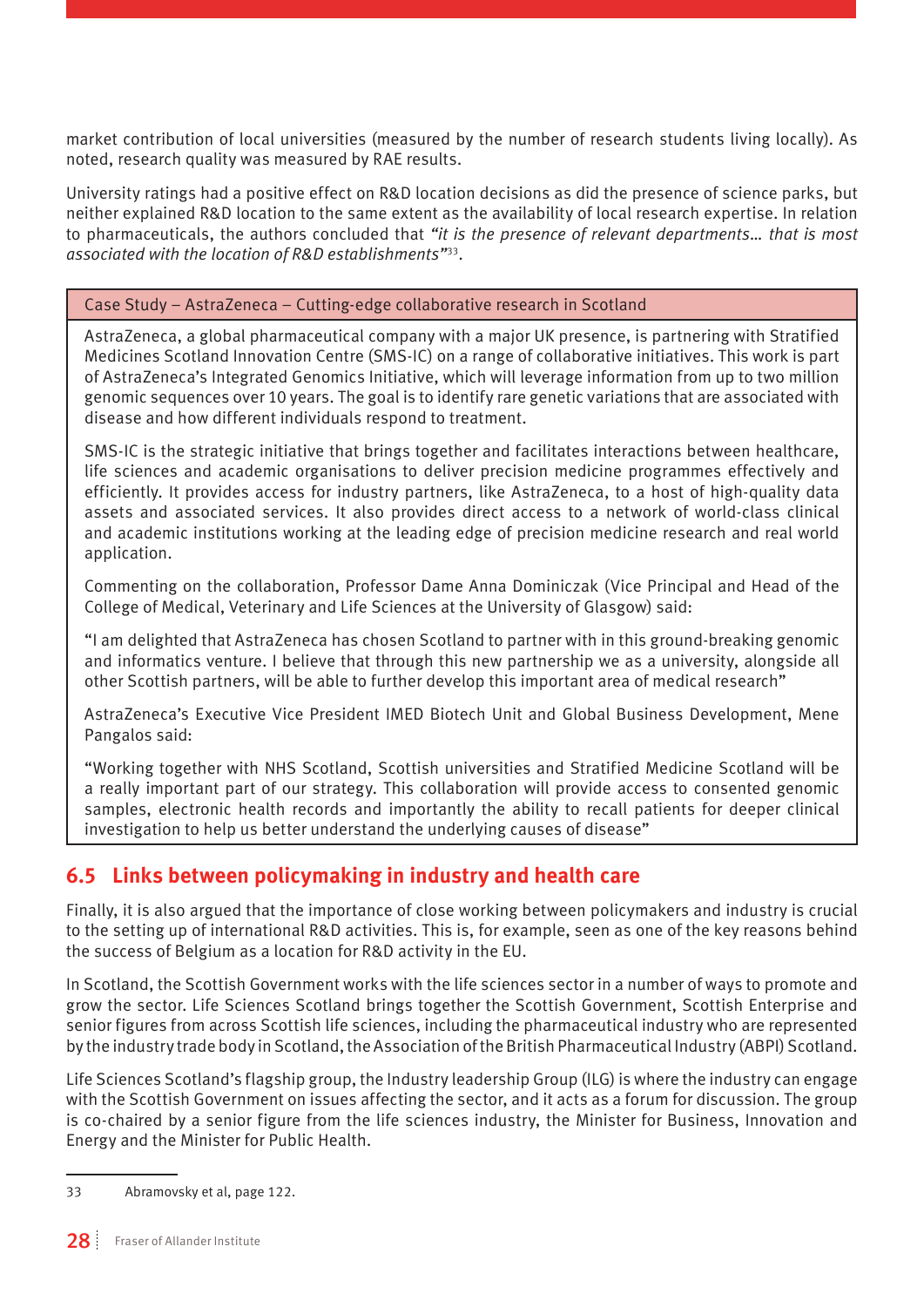market contribution of local universities (measured by the number of research students living locally). As noted, research quality was measured by RAE results.

University ratings had a positive effect on R&D location decisions as did the presence of science parks, but neither explained R&D location to the same extent as the availability of local research expertise. In relation to pharmaceuticals, the authors concluded that *"it is the presence of relevant departments… that is most associated with the location of R&D establishments"*<sup>33</sup>*.*

#### Case Study – AstraZeneca – Cutting-edge collaborative research in Scotland

AstraZeneca, a global pharmaceutical company with a major UK presence, is partnering with Stratified Medicines Scotland Innovation Centre (SMS-IC) on a range of collaborative initiatives. This work is part of AstraZeneca's Integrated Genomics Initiative, which will leverage information from up to two million genomic sequences over 10 years. The goal is to identify rare genetic variations that are associated with disease and how different individuals respond to treatment.

SMS-IC is the strategic initiative that brings together and facilitates interactions between healthcare, life sciences and academic organisations to deliver precision medicine programmes effectively and efficiently. It provides access for industry partners, like AstraZeneca, to a host of high-quality data assets and associated services. It also provides direct access to a network of world-class clinical and academic institutions working at the leading edge of precision medicine research and real world application.

Commenting on the collaboration, Professor Dame Anna Dominiczak (Vice Principal and Head of the College of Medical, Veterinary and Life Sciences at the University of Glasgow) said:

"I am delighted that AstraZeneca has chosen Scotland to partner with in this ground-breaking genomic and informatics venture. I believe that through this new partnership we as a university, alongside all other Scottish partners, will be able to further develop this important area of medical research"

AstraZeneca's Executive Vice President IMED Biotech Unit and Global Business Development, Mene Pangalos said:

"Working together with NHS Scotland, Scottish universities and Stratified Medicine Scotland will be a really important part of our strategy. This collaboration will provide access to consented genomic samples, electronic health records and importantly the ability to recall patients for deeper clinical investigation to help us better understand the underlying causes of disease"

#### **6.5 Links between policymaking in industry and health care**

Finally, it is also argued that the importance of close working between policymakers and industry is crucial to the setting up of international R&D activities. This is, for example, seen as one of the key reasons behind the success of Belgium as a location for R&D activity in the EU.

In Scotland, the Scottish Government works with the life sciences sector in a number of ways to promote and grow the sector. Life Sciences Scotland brings together the Scottish Government, Scottish Enterprise and senior figures from across Scottish life sciences, including the pharmaceutical industry who are represented by the industry trade body in Scotland, the Association of the British Pharmaceutical Industry (ABPI) Scotland.

Life Sciences Scotland's flagship group, the Industry leadership Group (ILG) is where the industry can engage with the Scottish Government on issues affecting the sector, and it acts as a forum for discussion. The group is co-chaired by a senior figure from the life sciences industry, the Minister for Business, Innovation and Energy and the Minister for Public Health.

<sup>33</sup> Abramovsky et al, page 122.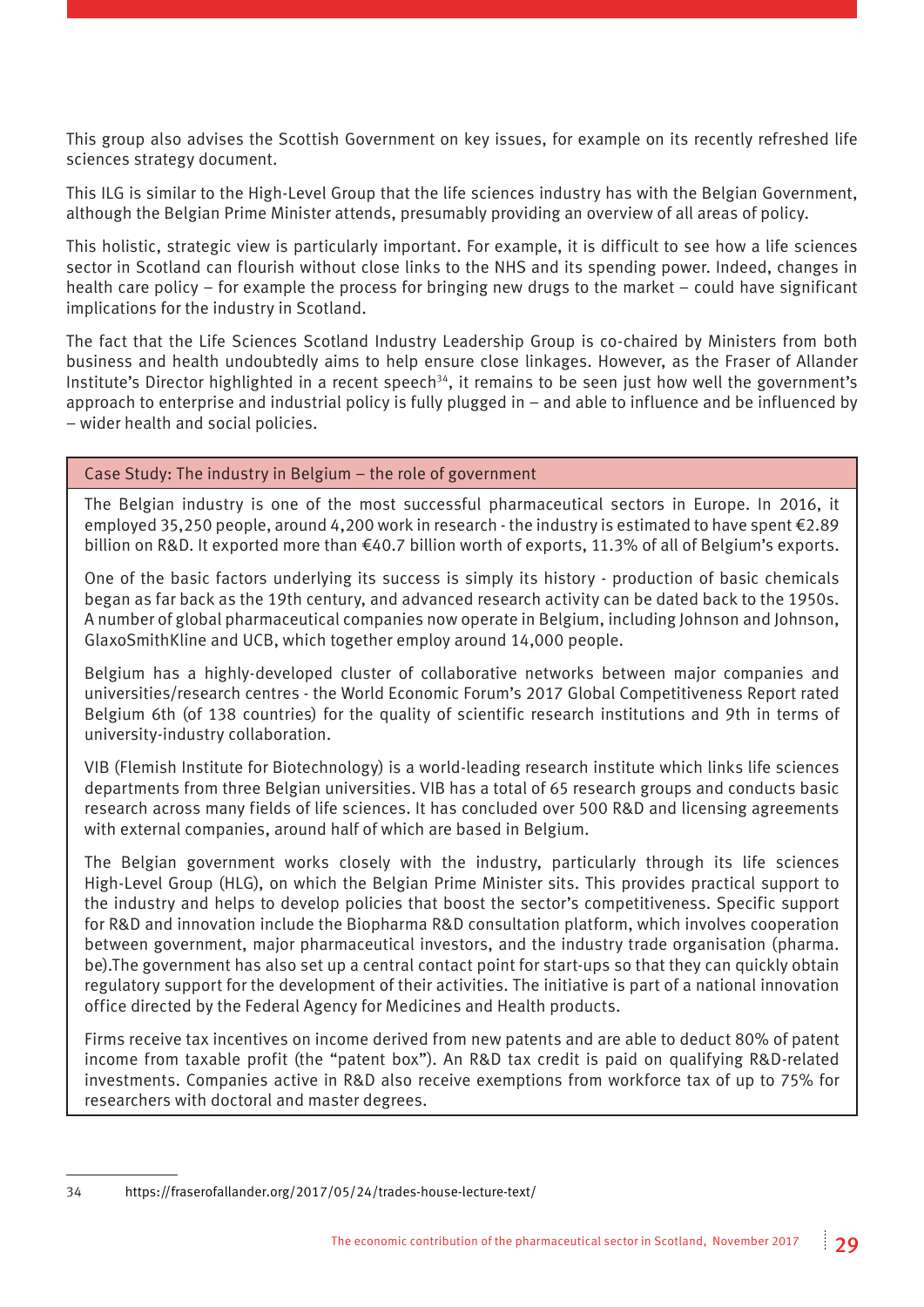This group also advises the Scottish Government on key issues, for example on its recently refreshed life sciences strategy document.

This ILG is similar to the High-Level Group that the life sciences industry has with the Belgian Government, although the Belgian Prime Minister attends, presumably providing an overview of all areas of policy.

This holistic, strategic view is particularly important. For example, it is difficult to see how a life sciences sector in Scotland can flourish without close links to the NHS and its spending power. Indeed, changes in health care policy – for example the process for bringing new drugs to the market – could have significant implications for the industry in Scotland.

The fact that the Life Sciences Scotland Industry Leadership Group is co-chaired by Ministers from both business and health undoubtedly aims to help ensure close linkages. However, as the Fraser of Allander Institute's Director highlighted in a recent speech<sup>34</sup>, it remains to be seen just how well the government's approach to enterprise and industrial policy is fully plugged in – and able to influence and be influenced by – wider health and social policies.

#### Case Study: The industry in Belgium – the role of government

The Belgian industry is one of the most successful pharmaceutical sectors in Europe. In 2016, it employed 35,250 people, around 4,200 work in research - the industry is estimated to have spent €2.89 billion on R&D. It exported more than €40.7 billion worth of exports, 11.3% of all of Belgium's exports.

One of the basic factors underlying its success is simply its history - production of basic chemicals began as far back as the 19th century, and advanced research activity can be dated back to the 1950s. A number of global pharmaceutical companies now operate in Belgium, including Johnson and Johnson, GlaxoSmithKline and UCB, which together employ around 14,000 people.

Belgium has a highly-developed cluster of collaborative networks between major companies and universities/research centres - the World Economic Forum's 2017 Global Competitiveness Report rated Belgium 6th (of 138 countries) for the quality of scientific research institutions and 9th in terms of university-industry collaboration.

VIB (Flemish Institute for Biotechnology) is a world-leading research institute which links life sciences departments from three Belgian universities. VIB has a total of 65 research groups and conducts basic research across many fields of life sciences. It has concluded over 500 R&D and licensing agreements with external companies, around half of which are based in Belgium.

The Belgian government works closely with the industry, particularly through its life sciences High-Level Group (HLG), on which the Belgian Prime Minister sits. This provides practical support to the industry and helps to develop policies that boost the sector's competitiveness. Specific support for R&D and innovation include the Biopharma R&D consultation platform, which involves cooperation between government, major pharmaceutical investors, and the industry trade organisation (pharma. be).The government has also set up a central contact point for start-ups so that they can quickly obtain regulatory support for the development of their activities. The initiative is part of a national innovation office directed by the Federal Agency for Medicines and Health products.

Firms receive tax incentives on income derived from new patents and are able to deduct 80% of patent income from taxable profit (the "patent box"). An R&D tax credit is paid on qualifying R&D-related investments. Companies active in R&D also receive exemptions from workforce tax of up to 75% for researchers with doctoral and master degrees.

34 <https://fraserofallander.org/2017/05/24/trades-house-lecture-text/>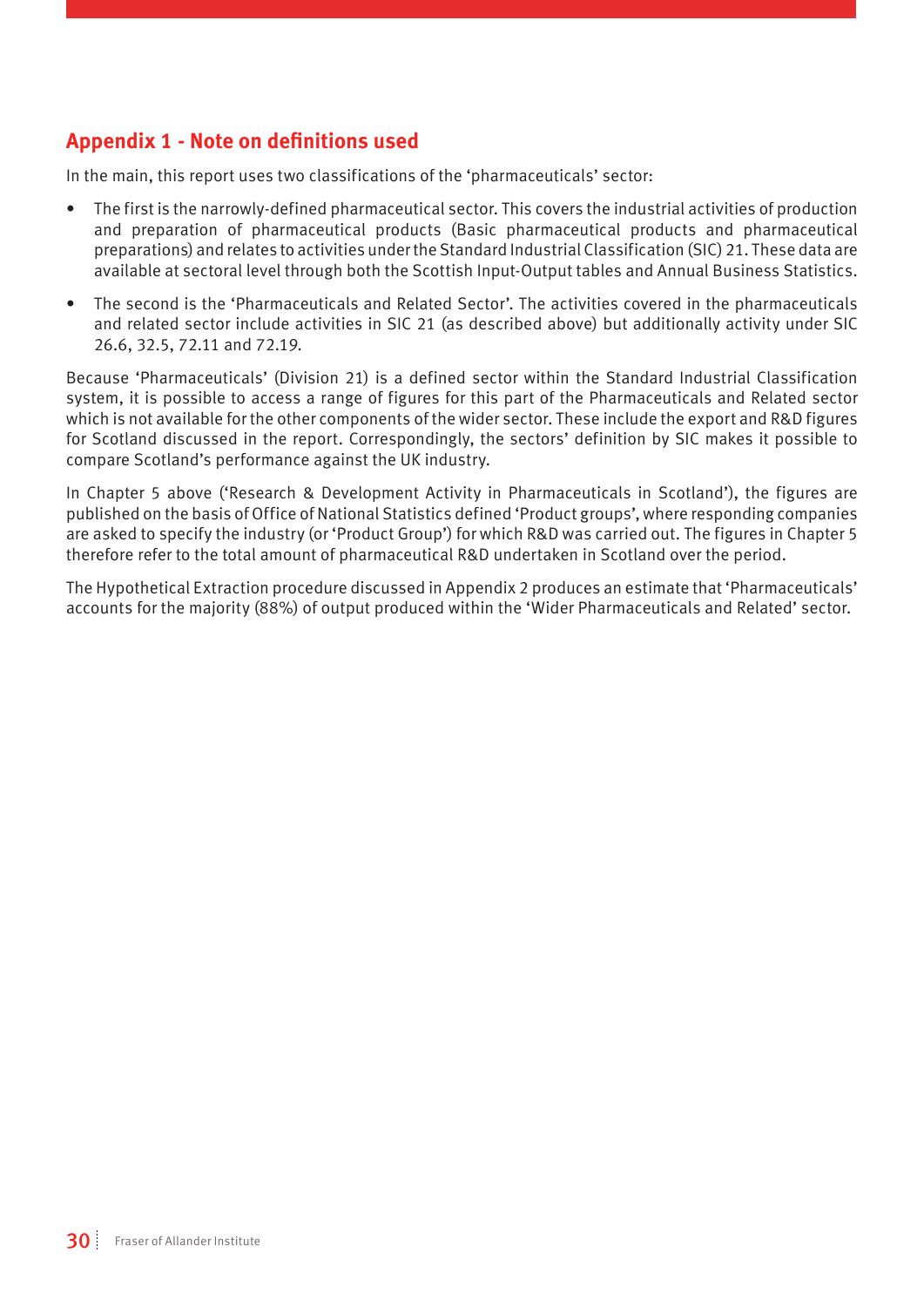#### **Appendix 1 - Note on definitions used**

In the main, this report uses two classifications of the 'pharmaceuticals' sector:

- The first is the narrowly-defined pharmaceutical sector. This covers the industrial activities of production and preparation of pharmaceutical products (Basic pharmaceutical products and pharmaceutical preparations) and relates to activities under the Standard Industrial Classification (SIC) 21. These data are available at sectoral level through both the Scottish Input-Output tables and Annual Business Statistics.
- The second is the 'Pharmaceuticals and Related Sector'. The activities covered in the pharmaceuticals and related sector include activities in SIC 21 (as described above) but additionally activity under SIC 26.6, 32.5, 72.11 and 72.19.

Because 'Pharmaceuticals' (Division 21) is a defined sector within the Standard Industrial Classification system, it is possible to access a range of figures for this part of the Pharmaceuticals and Related sector which is not available for the other components of the wider sector. These include the export and R&D figures for Scotland discussed in the report. Correspondingly, the sectors' definition by SIC makes it possible to compare Scotland's performance against the UK industry.

In Chapter 5 above ('Research & Development Activity in Pharmaceuticals in Scotland'), the figures are published on the basis of Office of National Statistics defined 'Product groups', where responding companies are asked to specify the industry (or 'Product Group') for which R&D was carried out. The figures in Chapter 5 therefore refer to the total amount of pharmaceutical R&D undertaken in Scotland over the period.

The Hypothetical Extraction procedure discussed in Appendix 2 produces an estimate that 'Pharmaceuticals' accounts for the majority (88%) of output produced within the 'Wider Pharmaceuticals and Related' sector.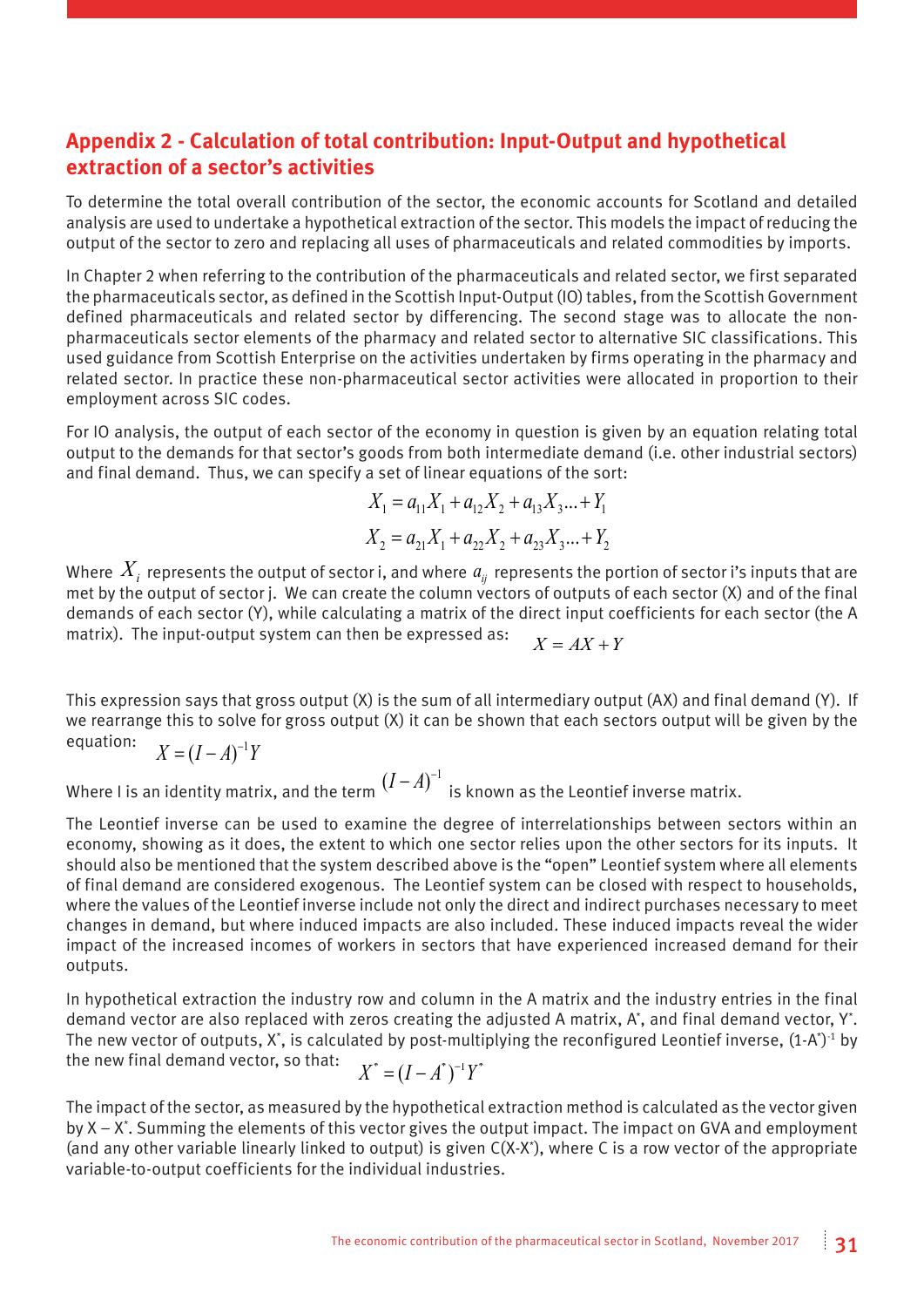#### **Appendix 2 - Calculation of total contribution: Input-Output and hypothetical extraction of a sector's activities**

To determine the total overall contribution of the sector, the economic accounts for Scotland and detailed analysis are used to undertake a hypothetical extraction of the sector. This models the impact of reducing the output of the sector to zero and replacing all uses of pharmaceuticals and related commodities by imports.

In Chapter 2 when referring to the contribution of the pharmaceuticals and related sector, we first separated the pharmaceuticals sector, as defined in the Scottish Input-Output (IO) tables, from the Scottish Government defined pharmaceuticals and related sector by differencing. The second stage was to allocate the nonpharmaceuticals sector elements of the pharmacy and related sector to alternative SIC classifications. This used guidance from Scottish Enterprise on the activities undertaken by firms operating in the pharmacy and related sector. In practice these non-pharmaceutical sector activities were allocated in proportion to their employment across SIC codes.

For IO analysis, the output of each sector of the economy in question is given by an equation relating total output to the demands for that sector's goods from both intermediate demand (i.e. other industrial sectors) and final demand. Thus, we can specify a set of linear equations of the sort:

$$
X_1 = a_{11}X_1 + a_{12}X_2 + a_{13}X_3... + Y_1
$$
  

$$
X_2 = a_{21}X_1 + a_{22}X_2 + a_{23}X_3... + Y_2
$$

Where  $X_i$  represents the output of sector i, and where  $a_{ij}$  represents the portion of sector i's inputs that are met by the output of sector j. We can create the column vectors of outputs of each sector (X) and of the final demands of each sector (Y), while calculating a matrix of the direct input coefficients for each sector (the A matrix). The input-output system can then be expressed as:  $X = AX + Y$ 

This expression says that gross output (X) is the sum of all intermediary output (AX) and final demand (Y). If we rearrange this to solve for gross output (X) it can be shown that each sectors output will be given by the equation:  $X = (I - A)^{-1}Y$ 

Where I is an identity matrix, and the term  $(I-A)^{-1} \;$  is known as the Leontief inverse matrix.

The Leontief inverse can be used to examine the degree of interrelationships between sectors within an economy, showing as it does, the extent to which one sector relies upon the other sectors for its inputs. It should also be mentioned that the system described above is the "open" Leontief system where all elements of final demand are considered exogenous. The Leontief system can be closed with respect to households, where the values of the Leontief inverse include not only the direct and indirect purchases necessary to meet changes in demand, but where induced impacts are also included. These induced impacts reveal the wider impact of the increased incomes of workers in sectors that have experienced increased demand for their outputs.

In hypothetical extraction the industry row and column in the A matrix and the industry entries in the final demand vector are also replaced with zeros creating the adjusted A matrix, A\*, and final demand vector, Y\*. The new vector of outputs, X\*, is calculated by post-multiplying the reconfigured Leontief inverse,  $(1\text{-A}^*)^{\text{-}1}$  by the new final demand vector, so that:  $X^* = (I - A^*)^{-1} Y^*$ 

The impact of the sector, as measured by the hypothetical extraction method is calculated as the vector given by X – X\* . Summing the elements of this vector gives the output impact. The impact on GVA and employment (and any other variable linearly linked to output) is given C(X-X\* ), where C is a row vector of the appropriate variable-to-output coefficients for the individual industries.